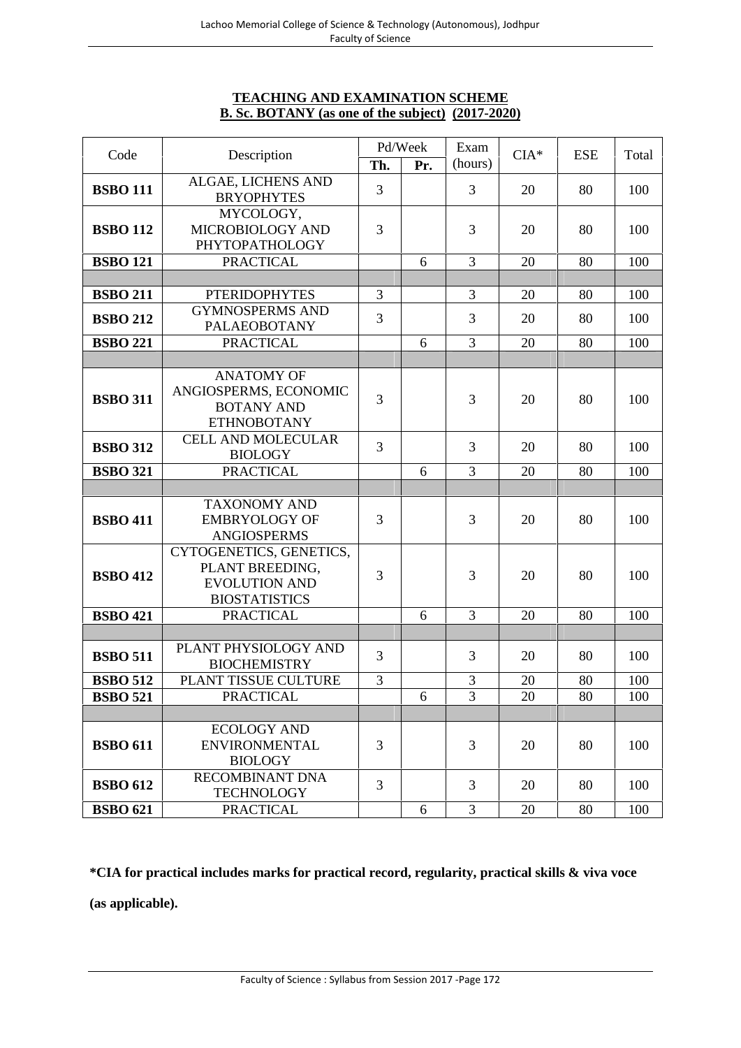# **TEACHING AND EXAMINATION SCHEME B. Sc. BOTANY (as one of the subject) (2017-2020)**

|                 |                                                                                            |     | Pd/Week | Exam           |        |            |       |
|-----------------|--------------------------------------------------------------------------------------------|-----|---------|----------------|--------|------------|-------|
| Code            | Description                                                                                | Th. | Pr.     | (hours)        | $CIA*$ | <b>ESE</b> | Total |
| <b>BSBO 111</b> | ALGAE, LICHENS AND<br><b>BRYOPHYTES</b>                                                    | 3   |         | 3              | 20     | 80         | 100   |
| <b>BSBO 112</b> | MYCOLOGY,<br>MICROBIOLOGY AND<br>PHYTOPATHOLOGY                                            | 3   |         | 3              | 20     | 80         | 100   |
| <b>BSBO 121</b> | <b>PRACTICAL</b>                                                                           |     | 6       | $\overline{3}$ | 20     | 80         | 100   |
|                 |                                                                                            |     |         |                |        |            |       |
| <b>BSBO 211</b> | <b>PTERIDOPHYTES</b>                                                                       | 3   |         | 3              | 20     | 80         | 100   |
| <b>BSBO 212</b> | <b>GYMNOSPERMS AND</b><br>PALAEOBOTANY                                                     | 3   |         | 3              | 20     | 80         | 100   |
| <b>BSBO 221</b> | <b>PRACTICAL</b>                                                                           |     | 6       | 3              | 20     | 80         | 100   |
|                 |                                                                                            |     |         |                |        |            |       |
| <b>BSBO 311</b> | <b>ANATOMY OF</b><br>ANGIOSPERMS, ECONOMIC<br><b>BOTANY AND</b><br><b>ETHNOBOTANY</b>      | 3   |         | 3              | 20     | 80         | 100   |
| <b>BSBO 312</b> | <b>CELL AND MOLECULAR</b><br><b>BIOLOGY</b>                                                | 3   |         | 3              | 20     | 80         | 100   |
| <b>BSBO 321</b> | <b>PRACTICAL</b>                                                                           |     | 6       | 3              | 20     | 80         | 100   |
|                 |                                                                                            |     |         |                |        |            |       |
| <b>BSBO 411</b> | <b>TAXONOMY AND</b><br><b>EMBRYOLOGY OF</b><br><b>ANGIOSPERMS</b>                          | 3   |         | 3              | 20     | 80         | 100   |
| <b>BSBO 412</b> | CYTOGENETICS, GENETICS,<br>PLANT BREEDING,<br><b>EVOLUTION AND</b><br><b>BIOSTATISTICS</b> | 3   |         | 3              | 20     | 80         | 100   |
| <b>BSBO 421</b> | <b>PRACTICAL</b>                                                                           |     | 6       | 3              | 20     | 80         | 100   |
|                 |                                                                                            |     |         |                |        |            |       |
| <b>BSBO 511</b> | PLANT PHYSIOLOGY AND<br><b>BIOCHEMISTRY</b>                                                | 3   |         | 3              | 20     | 80         | 100   |
| <b>BSBO 512</b> | PLANT TISSUE CULTURE                                                                       | 3   |         | 3              | 20     | 80         | 100   |
| <b>BSBO 521</b> | <b>PRACTICAL</b>                                                                           |     | 6       | 3              | 20     | 80         | 100   |
|                 |                                                                                            |     |         |                |        |            |       |
| <b>BSBO 611</b> | <b>ECOLOGY AND</b><br><b>ENVIRONMENTAL</b><br><b>BIOLOGY</b>                               | 3   |         | 3              | 20     | 80         | 100   |
| <b>BSBO 612</b> | <b>RECOMBINANT DNA</b><br><b>TECHNOLOGY</b>                                                | 3   |         | 3              | 20     | 80         | 100   |
| <b>BSBO 621</b> | <b>PRACTICAL</b>                                                                           |     | 6       | 3              | 20     | 80         | 100   |

**\*CIA for practical includes marks for practical record, regularity, practical skills & viva voce**

**(as applicable).**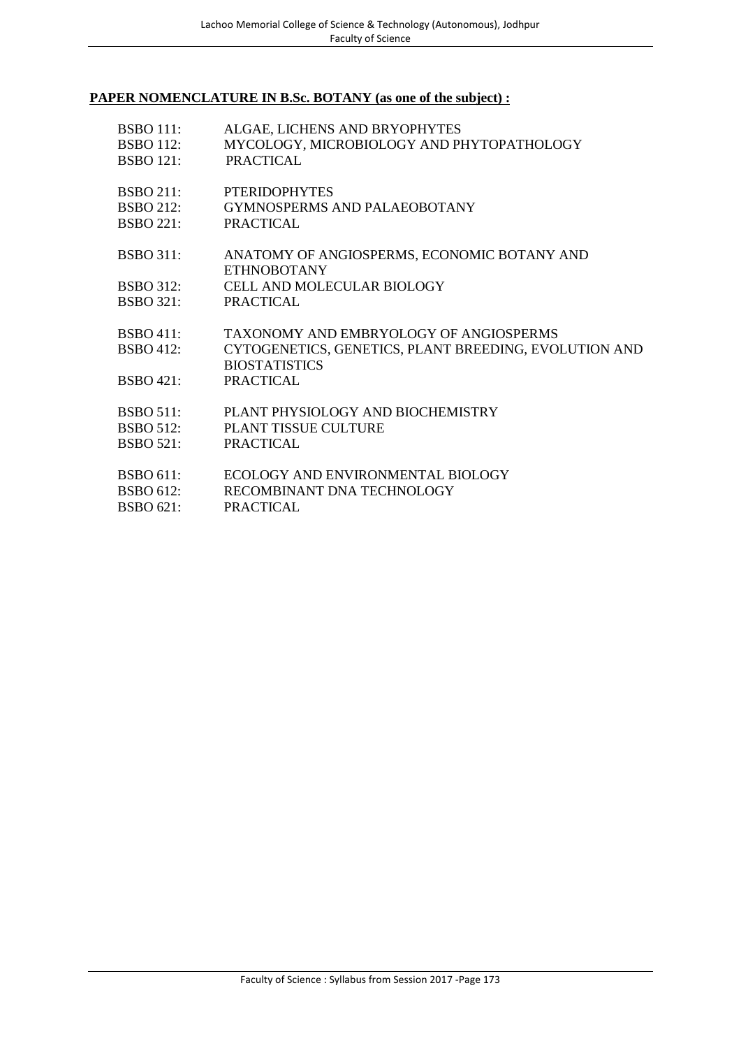# **PAPER NOMENCLATURE IN B.Sc. BOTANY (as one of the subject) :**

| <b>BSBO 111:</b>                 | ALGAE, LICHENS AND BRYOPHYTES                                                                                                               |
|----------------------------------|---------------------------------------------------------------------------------------------------------------------------------------------|
| <b>BSBO</b> 112:                 | MYCOLOGY, MICROBIOLOGY AND PHYTOPATHOLOGY                                                                                                   |
| <b>BSBO 121:</b>                 | <b>PRACTICAL</b>                                                                                                                            |
| <b>BSBO 211:</b>                 | <b>PTERIDOPHYTES</b>                                                                                                                        |
| BSBO 212:                        | <b>GYMNOSPERMS AND PALAEOBOTANY</b>                                                                                                         |
| BSBO 221:                        | PRACTICAL                                                                                                                                   |
| <b>BSBO 311:</b>                 | ANATOMY OF ANGIOSPERMS, ECONOMIC BOTANY AND<br><b>ETHNOBOTANY</b>                                                                           |
| <b>BSBO</b> 312:                 | CELL AND MOLECULAR BIOLOGY                                                                                                                  |
| BSBO 321:                        | PRACTICAL                                                                                                                                   |
| BSBO411:<br>BSBO412:<br>BSBO421: | <b>TAXONOMY AND EMBRYOLOGY OF ANGIOSPERMS</b><br>CYTOGENETICS, GENETICS, PLANT BREEDING, EVOLUTION AND<br><b>BIOSTATISTICS</b><br>PRACTICAL |
| <b>BSBO 511:</b>                 | PLANT PHYSIOLOGY AND BIOCHEMISTRY                                                                                                           |
| BSBO 512:                        | PLANT TISSUE CULTURE                                                                                                                        |
| <b>BSBO 521:</b>                 | <b>PRACTICAL</b>                                                                                                                            |
| <b>BSBO 611:</b>                 | ECOLOGY AND ENVIRONMENTAL BIOLOGY                                                                                                           |
| <b>BSBO 612:</b>                 | RECOMBINANT DNA TECHNOLOGY                                                                                                                  |
| <b>BSBO 621:</b>                 | <b>PRACTICAL</b>                                                                                                                            |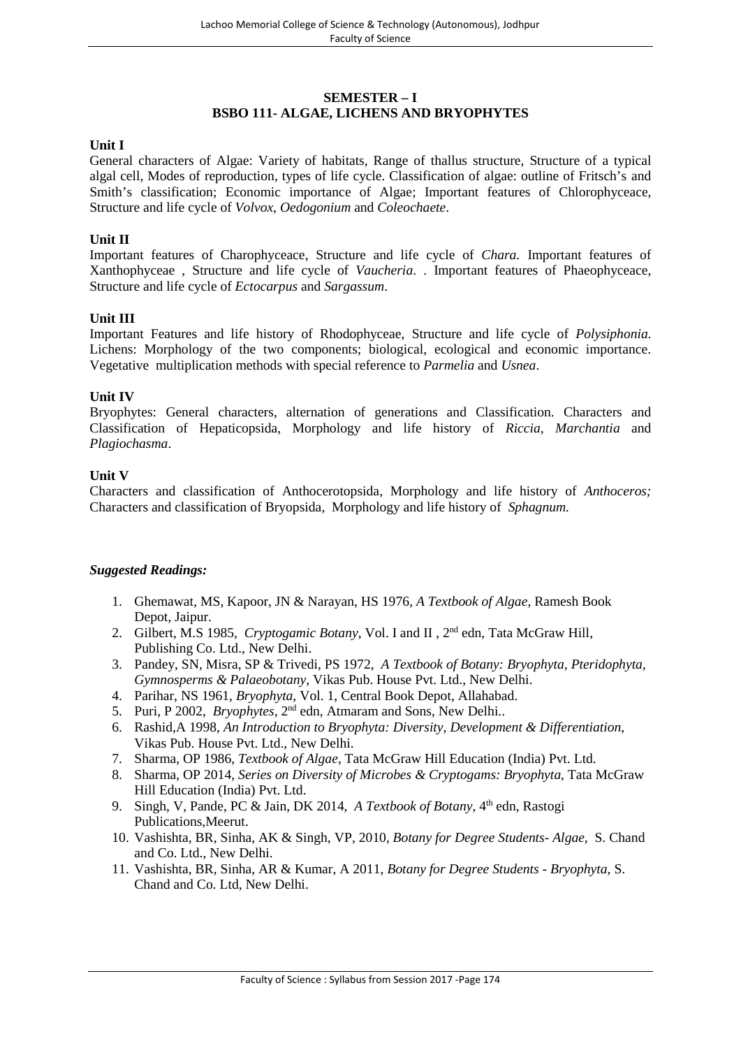# **SEMESTER – I BSBO 111- ALGAE, LICHENS AND BRYOPHYTES**

#### **Unit I**

General characters of Algae: Variety of habitats, Range of thallus structure, Structure of a typical algal cell, Modes of reproduction, types of life cycle. Classification of algae: outline of Fritsch's and Smith's classification; Economic importance of Algae; Important features of Chlorophyceace, Structure and life cycle of *Volvox*, *Oedogonium* and*Coleochaete*.

#### **Unit II**

Important features of Charophyceace, Structure and life cycle of *Chara.* Important features of Xanthophyceae , Structure and life cycle of *Vaucheria*. . Important features of Phaeophyceace, Structure and life cycle of *Ectocarpus* and *Sargassum*.

#### **Unit III**

Important Features and life history of Rhodophyceae, Structure and life cycle of *Polysiphonia*. Lichens: Morphology of the two components; biological, ecological and economic importance. Vegetative multiplication methods with special reference to *Parmelia* and *Usnea*.

#### **Unit IV**

Bryophytes: General characters, alternation of generations and Classification. Characters and Classification of Hepaticopsida, Morphology and life history of *Riccia, Marchantia* and *Plagiochasma*.

#### **Unit V**

Characters and classification of Anthocerotopsida, Morphology and life history of *Anthoceros;* Characters and classification of Bryopsida, Morphology and life history of *Sphagnum.*

- 1. Ghemawat, MS, Kapoor, JN & Narayan, HS 1976, *A Textbook of Algae*, Ramesh Book Depot, Jaipur.
- 2. Gilbert, M.S 1985, *Cryptogamic Botany,* Vol. I and II , 2nd edn, Tata McGraw Hill, Publishing Co. Ltd., New Delhi.
- 3. Pandey, SN, Misra, SP & Trivedi, PS 1972, *A Textbook of Botany: Bryophyta, Pteridophyta, Gymnosperms & Palaeobotany*, Vikas Pub. House Pvt. Ltd., New Delhi.
- 4. Parihar, NS 1961, *Bryophyta*, Vol. 1, Central Book Depot, Allahabad.
- 5. Puri, P 2002, *Bryophytes*, 2<sup>nd</sup> edn, Atmaram and Sons, New Delhi..
- 6. Rashid,A 1998, *An Introduction to Bryophyta: Diversity, Development & Differentiation*, Vikas Pub. House Pvt. Ltd., New Delhi.
- 7. Sharma, OP 1986, *Textbook of Algae*, Tata McGraw Hill Education (India) Pvt. Ltd.
- 8. Sharma, OP 2014, *Series on Diversity of Microbes & Cryptogams: Bryophyta*, Tata McGraw Hill Education (India) Pvt. Ltd.
- 9. Singh, V, Pande, PC & Jain, DK 2014, *A Textbook of Botany*, 4<sup>th</sup> edn, Rastogi Publications,Meerut.
- 10. Vashishta, BR, Sinha, AK & Singh, VP, 2010, *Botany for Degree Students- Algae*, S. Chand and Co. Ltd., New Delhi.
- 11. Vashishta, BR, Sinha, AR & Kumar, A 2011, *Botany for Degree Students - Bryophyta*, S. Chand and Co. Ltd, New Delhi.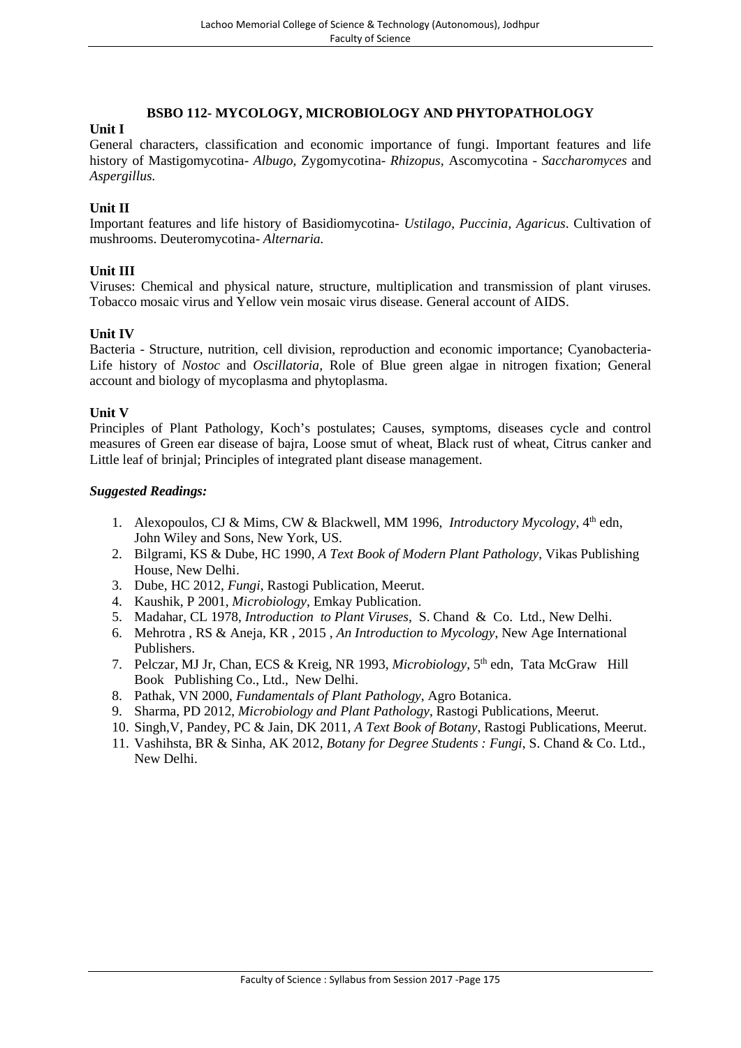# **BSBO 112- MYCOLOGY, MICROBIOLOGY AND PHYTOPATHOLOGY**

# **Unit I**

General characters, classification and economic importance of fungi. Important features and life history of Mastigomycotina- *Albugo,* Zygomycotina- *Rhizopus,* Ascomycotina - *Saccharomyces* and *Aspergillus.*

# **Unit II**

Important features and life history of Basidiomycotina- *Ustilago, Puccinia, Agaricus*. Cultivation of mushrooms. Deuteromycotina- *Alternaria.*

#### **Unit III**

Viruses: Chemical and physical nature, structure, multiplication and transmission of plant viruses. Tobacco mosaic virus and Yellow vein mosaic virus disease. General account of AIDS.

#### **Unit IV**

Bacteria - Structure, nutrition, cell division, reproduction and economic importance; Cyanobacteria- Life history of *Nostoc* and *Oscillatoria,* Role of Blue green algae in nitrogen fixation; General account and biology of mycoplasma and phytoplasma.

#### **Unit V**

Principles of Plant Pathology, Koch's postulates; Causes, symptoms, diseases cycle and control measures of Green ear disease of bajra, Loose smut of wheat, Black rust of wheat, Citrus canker and Little leaf of brinjal; Principles of integrated plant disease management.

- 1. Alexopoulos, CJ & Mims, CW & Blackwell, MM 1996, *Introductory Mycology*, 4<sup>th</sup> edn, John Wiley and Sons, New York, US.
- 2. Bilgrami, KS & Dube, HC 1990, *A Text Book of Modern Plant Pathology*, Vikas Publishing House, New Delhi.
- 3. Dube, HC 2012, *Fungi*, Rastogi Publication, Meerut.
- 4. Kaushik, P 2001, *Microbiology*, Emkay Publication.
- 5. Madahar, CL 1978, *Introduction to Plant Viruses*, S. Chand & Co. Ltd., New Delhi.
- 6. Mehrotra , RS & Aneja, KR , 2015 , *An Introduction to Mycology*, New Age International Publishers.
- 7. Pelczar, MJ Jr, Chan, ECS & Kreig, NR 1993, *Microbiology*, 5th edn, Tata McGraw Hill Book Publishing Co., Ltd., New Delhi.
- 8. Pathak, VN 2000, *Fundamentals of Plant Pathology*, Agro Botanica.
- 9. Sharma, PD 2012, *Microbiology and Plant Pathology*, Rastogi Publications, Meerut.
- 10. Singh,V, Pandey, PC & Jain, DK 2011, *A Text Book of Botany*, Rastogi Publications, Meerut.
- 11. Vashihsta, BR & Sinha, AK 2012, *Botany for Degree Students : Fungi*, S. Chand & Co. Ltd., New Delhi.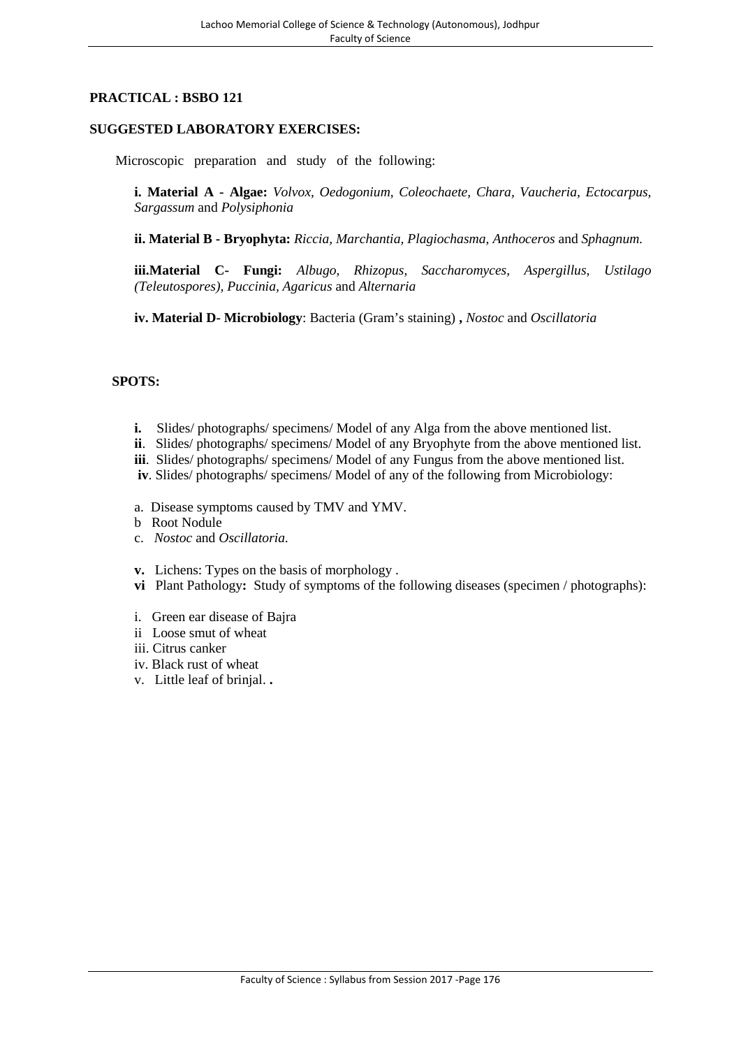# **PRACTICAL : BSBO 121**

# **SUGGESTED LABORATORY EXERCISES:**

Microscopic preparation and study of the following:

**i. Material A - Algae:** *Volvox, Oedogonium, Coleochaete, Chara, Vaucheria, Ectocarpus, Sargassum* and *Polysiphonia*

**ii. Material B - Bryophyta:** *Riccia, Marchantia, Plagiochasma, Anthoceros* and *Sphagnum.*

**iii.Material C- Fungi:** *Albugo, Rhizopus, Saccharomyces, Aspergillus, Ustilago (Teleutospores), Puccinia, Agaricus* and *Alternaria*

**iv. Material D- Microbiology**: Bacteria (Gram's staining) **,** *Nostoc* and *Oscillatoria*

#### **SPOTS:**

- **i.** Slides/ photographs/ specimens/ Model of any Alga from the above mentioned list.
- **ii**. Slides/ photographs/ specimens/ Model of any Bryophyte from the above mentioned list.
- **iii**. Slides/ photographs/ specimens/ Model of any Fungus from the above mentioned list.
- **iv**. Slides/ photographs/ specimens/ Model of any of the following from Microbiology:
- a. Disease symptoms caused by TMV and YMV.
- b Root Nodule
- c. *Nostoc* and *Oscillatoria*.
- **v.** Lichens: Types on the basis of morphology .
- **vi** Plant Pathology**:** Study of symptoms of the following diseases (specimen / photographs):
- i. Green ear disease of Bajra
- ii Loose smut of wheat
- iii. Citrus canker
- iv. Black rust of wheat
- v. Little leaf of brinjal. **.**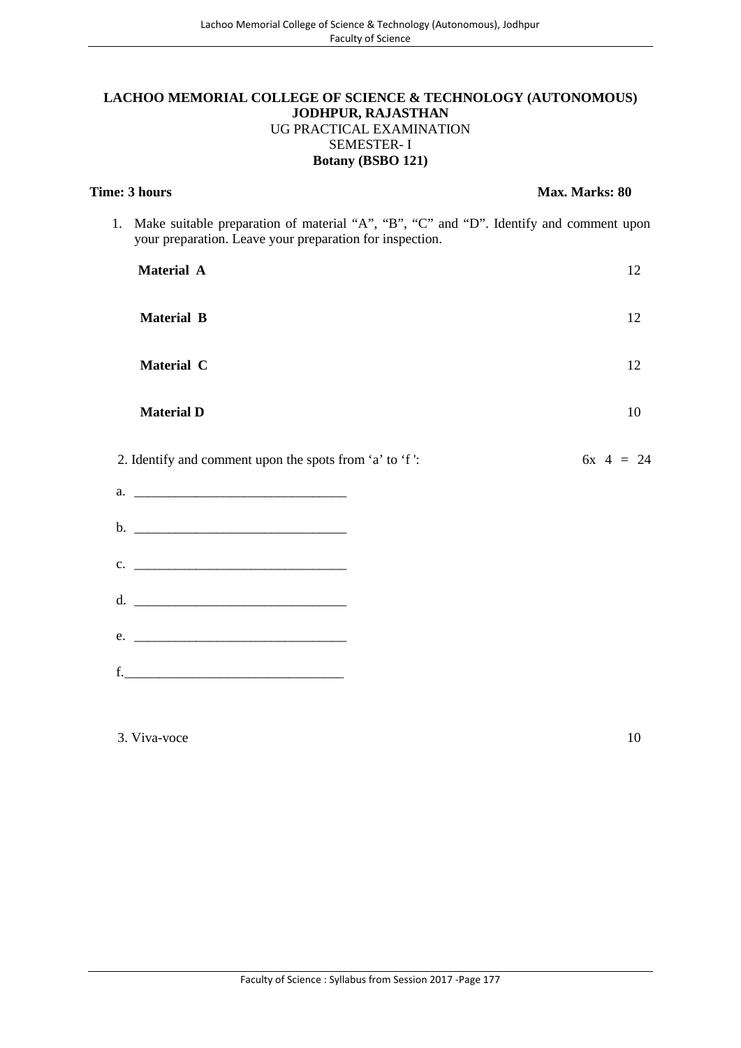## **LACHOO MEMORIAL COLLEGE OF SCIENCE & TECHNOLOGY (AUTONOMOUS) JODHPUR, RAJASTHAN** UG PRACTICAL EXAMINATION SEMESTER- I **Botany (BSBO 121)**

| <b>Time: 3 hours</b>                                                                                                                                  | Max. Marks: 80 |
|-------------------------------------------------------------------------------------------------------------------------------------------------------|----------------|
| 1. Make suitable preparation of material "A", "B", "C" and "D". Identify and comment upon<br>your preparation. Leave your preparation for inspection. |                |
| Material A                                                                                                                                            | 12             |
| <b>Material B</b>                                                                                                                                     | 12             |
| Material C                                                                                                                                            | 12             |
| <b>Material D</b>                                                                                                                                     | 10             |
|                                                                                                                                                       |                |
| 2. Identify and comment upon the spots from 'a' to 'f':                                                                                               | $6x + 4 = 24$  |
|                                                                                                                                                       |                |
|                                                                                                                                                       |                |
| $c.$ $\qquad \qquad$                                                                                                                                  |                |
|                                                                                                                                                       |                |
|                                                                                                                                                       |                |

 $3. \text{Viva-voce}$  10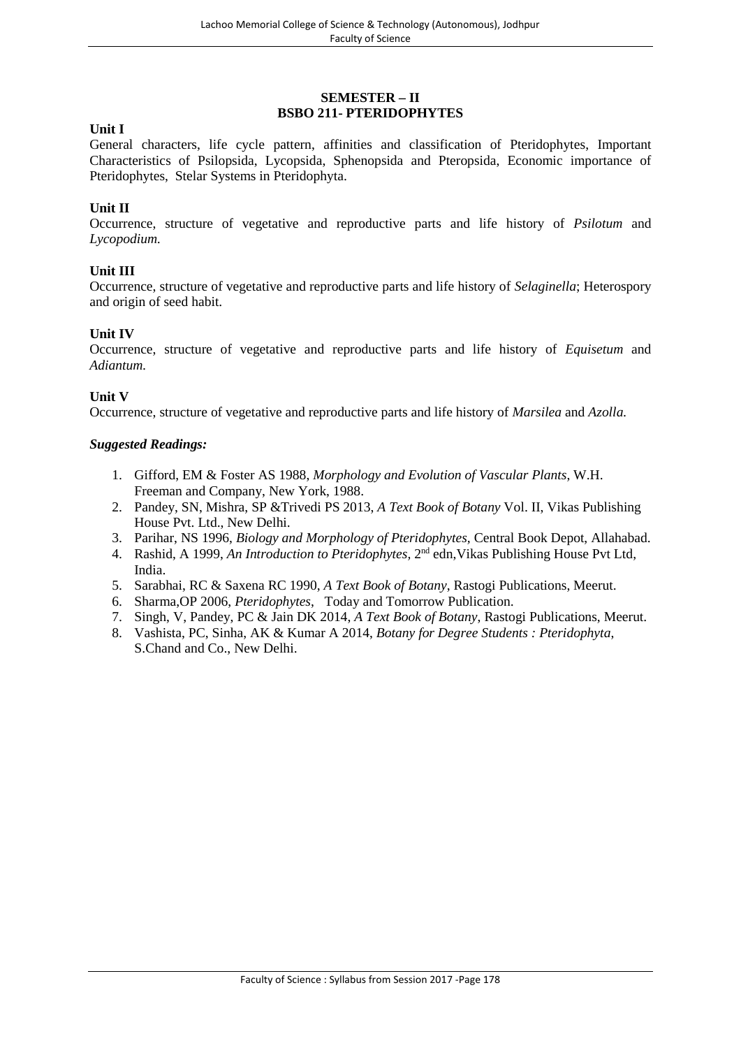## **SEMESTER – II BSBO 211- PTERIDOPHYTES**

#### **Unit I**

General characters, life cycle pattern, affinities and classification of Pteridophytes, Important Characteristics of Psilopsida, Lycopsida, Sphenopsida and Pteropsida, Economic importance of Pteridophytes, Stelar Systems in Pteridophyta.

#### **Unit II**

Occurrence, structure of vegetative and reproductive parts and life history of *Psilotum* and *Lycopodium.*

#### **Unit III**

Occurrence, structure of vegetative and reproductive parts and life history of *Selaginella*; Heterospory and origin of seed habit.

#### **Unit IV**

Occurrence, structure of vegetative and reproductive parts and life history of *Equisetum* and *Adiantum.*

#### **Unit V**

Occurrence, structure of vegetative and reproductive parts and life history of *Marsilea* and *Azolla.*

- 1. Gifford, EM & Foster AS 1988, *Morphology and Evolution of Vascular Plants*, W.H. Freeman and Company, New York, 1988.
- 2. Pandey, SN, Mishra, SP &Trivedi PS 2013, *A Text Book of Botany* Vol. II, Vikas Publishing House Pvt. Ltd., New Delhi.
- 3. Parihar, NS 1996, *Biology and Morphology of Pteridophytes,* Central Book Depot, Allahabad.
- 4. Rashid, A 1999, An Introduction to Pteridophytes, 2<sup>nd</sup> edn, Vikas Publishing House Pvt Ltd, India.
- 5. Sarabhai, RC & Saxena RC 1990, *A Text Book of Botany*, Rastogi Publications, Meerut.
- 6. Sharma,OP 2006, *Pteridophytes*, Today and Tomorrow Publication.
- 7. Singh, V, Pandey, PC & Jain DK 2014, *A Text Book of Botany*, Rastogi Publications, Meerut.
- 8. Vashista, PC, Sinha, AK & Kumar A 2014, *Botany for Degree Students : Pteridophyta*, S.Chand and Co., New Delhi.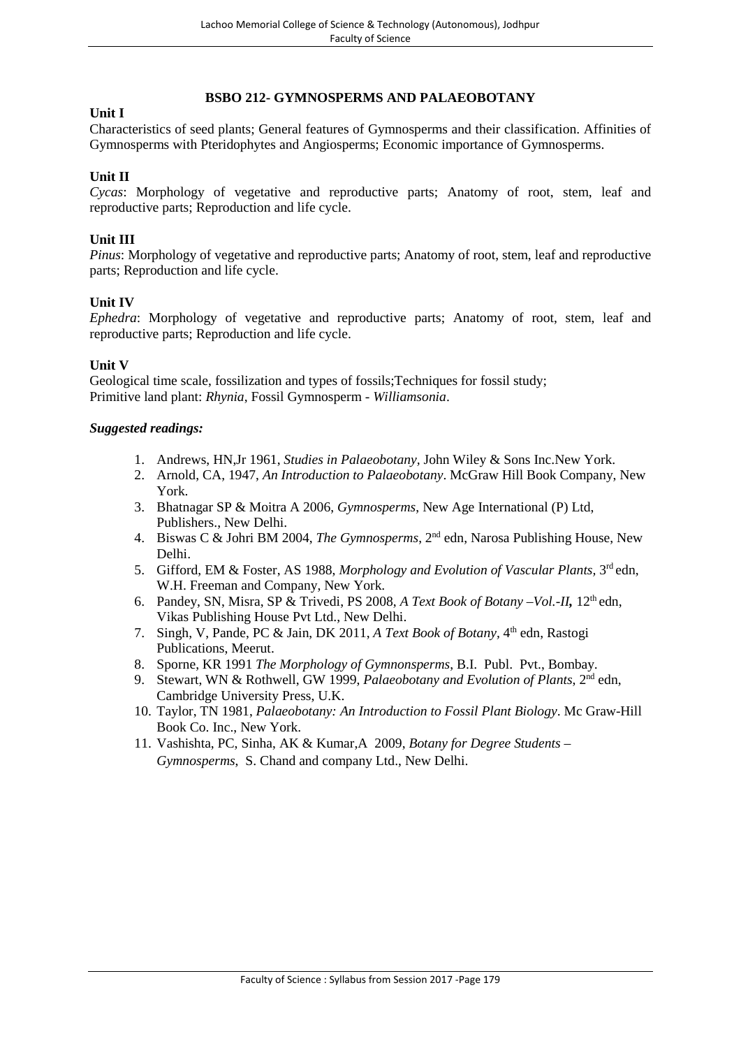# **Unit I**

**BSBO 212- GYMNOSPERMS AND PALAEOBOTANY**

Characteristics of seed plants; General features of Gymnosperms and their classification. Affinities of Gymnosperms with Pteridophytes and Angiosperms; Economic importance of Gymnosperms.

# **Unit II**

*Cycas*: Morphology of vegetative and reproductive parts; Anatomy of root, stem, leaf and reproductive parts; Reproduction and life cycle.

# **Unit III**

*Pinus*: Morphology of vegetative and reproductive parts; Anatomy of root, stem, leaf and reproductive parts; Reproduction and life cycle.

# **Unit IV**

*Ephedra*: Morphology of vegetative and reproductive parts; Anatomy of root, stem, leaf and reproductive parts; Reproduction and life cycle.

# **Unit V**

Geological time scale, fossilization and types of fossils;Techniques for fossil study; Primitive land plant: *Rhynia*, Fossil Gymnosperm - *Williamsonia*.

- 1. Andrews, HN,Jr 1961, *Studies in Palaeobotany,* John Wiley & Sons Inc.New York.
- 2. Arnold, CA, 1947, *An Introduction to Palaeobotany*. McGraw Hill Book Company, New York.
- 3. Bhatnagar SP & Moitra A 2006, *Gymnosperms*, New Age International (P) Ltd, Publishers., New Delhi.
- 4. Biswas C & Johri BM 2004, *The Gymnosperms*, 2nd edn, Narosa Publishing House, New Delhi.
- 5. Gifford, EM & Foster, AS 1988, *Morphology and Evolution of Vascular Plants,* 3 rd edn, W.H. Freeman and Company, New York.
- 6. Pandey, SN, Misra, SP & Trivedi, PS 2008, *A Text Book of Botany –Vol.-II,* 12th edn, Vikas Publishing House Pvt Ltd., New Delhi.
- 7. Singh, V, Pande, PC & Jain, DK 2011, *A Text Book of Botany*, 4<sup>th</sup> edn, Rastogi Publications, Meerut.
- 8. Sporne, KR 1991 *The Morphology of Gymnonsperms*, B.I. Publ. Pvt., Bombay.
- 9. Stewart, WN & Rothwell, GW 1999, *Palaeobotany and Evolution of Plants*, 2<sup>nd</sup> edn, Cambridge University Press, U.K.
- 10. Taylor, TN 1981, *Palaeobotany: An Introduction to Fossil Plant Biology*. Mc Graw-Hill Book Co. Inc., New York.
- 11. Vashishta, PC, Sinha, AK & Kumar,A 2009, *Botany for Degree Students Gymnosperms*, S. Chand and company Ltd., New Delhi.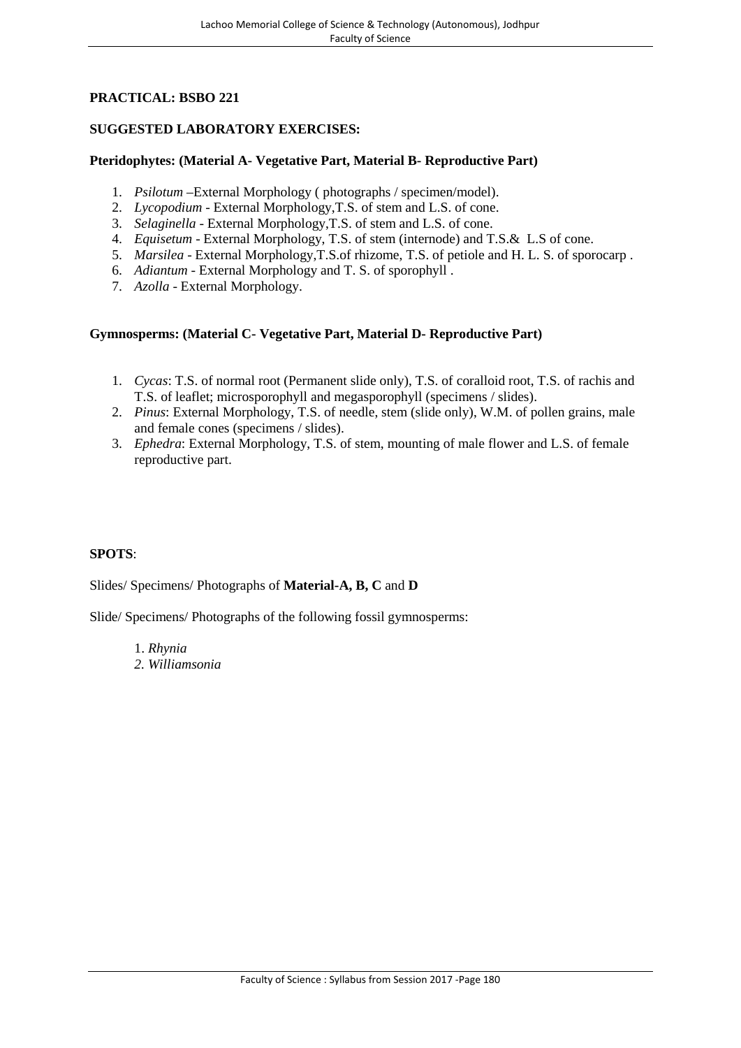# **PRACTICAL: BSBO 221**

# **SUGGESTED LABORATORY EXERCISES:**

# **Pteridophytes: (Material A- Vegetative Part, Material B- Reproductive Part)**

- 1. *Psilotum* –External Morphology ( photographs / specimen/model).
- 2. *Lycopodium* External Morphology,T.S. of stem and L.S. of cone.
- 3. *Selaginella* External Morphology,T.S. of stem and L.S. of cone.
- 4. *Equisetum* External Morphology, T.S. of stem (internode) and T.S.& L.S of cone.
- 5. *Marsilea* External Morphology,T.S.of rhizome, T.S. of petiole and H. L. S. of sporocarp .
- 6. *Adiantum* External Morphology and T. S. of sporophyll .
- 7. *Azolla* External Morphology.

# **Gymnosperms: (Material C- Vegetative Part, Material D- Reproductive Part)**

- 1. *Cycas*: T.S. of normal root (Permanent slide only), T.S. of coralloid root, T.S. of rachis and T.S. of leaflet; microsporophyll and megasporophyll (specimens / slides).
- 2. *Pinus*: External Morphology, T.S. of needle, stem (slide only), W.M. of pollen grains, male and female cones (specimens / slides).
- 3. *Ephedra*: External Morphology, T.S. of stem, mounting of male flower and L.S. of female reproductive part.

#### **SPOTS**:

Slides/ Specimens/ Photographs of **Material-A, B, C** and **D**

Slide/ Specimens/ Photographs of the following fossil gymnosperms:

1. *Rhynia*

*2. Williamsonia*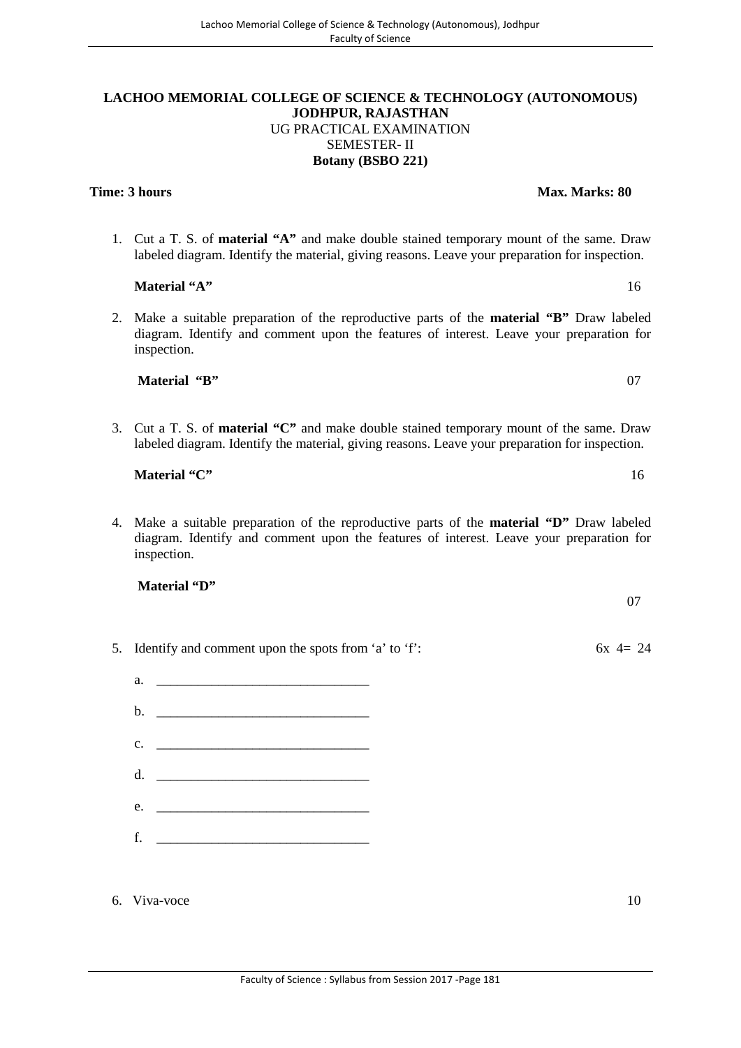#### **LACHOO MEMORIAL COLLEGE OF SCIENCE & TECHNOLOGY (AUTONOMOUS) JODHPUR, RAJASTHAN** UG PRACTICAL EXAMINATION SEMESTER- II **Botany (BSBO 221)**

**Time: 3 hours Max. Marks:** 80

1. Cut a T. S. of **material "A"** and make double stained temporary mount of the same. Draw labeled diagram. Identify the material, giving reasons. Leave your preparation for inspection.

2. Make a suitable preparation of the reproductive parts of the **material "B"** Draw labeled diagram. Identify and comment upon the features of interest. Leave your preparation for inspection.

**Material "B"** 07

**Material "A"** 16

3. Cut a T. S. of **material "C"** and make double stained temporary mount of the same. Draw labeled diagram. Identify the material, giving reasons. Leave your preparation for inspection.

4. Make a suitable preparation of the reproductive parts of the **material "D"** Draw labeled diagram. Identify and comment upon the features of interest. Leave your preparation for inspection.

6. Viva-voce 10

5. Identify and comment upon the spots from 'a' to 'f':  $6x \, 4 = 24$ 

- **Material "C"** 16
- **Material "D"**

a.  $\qquad \qquad$ 

 $b.$ c. \_\_\_\_\_\_\_\_\_\_\_\_\_\_\_\_\_\_\_\_\_\_\_\_\_\_\_\_\_\_\_  $d.$  $e.$  $f_{\rm c}$  and  $f_{\rm c}$  and  $f_{\rm c}$  and  $f_{\rm c}$  and  $f_{\rm c}$  and  $f_{\rm c}$ 

- 
- 07
-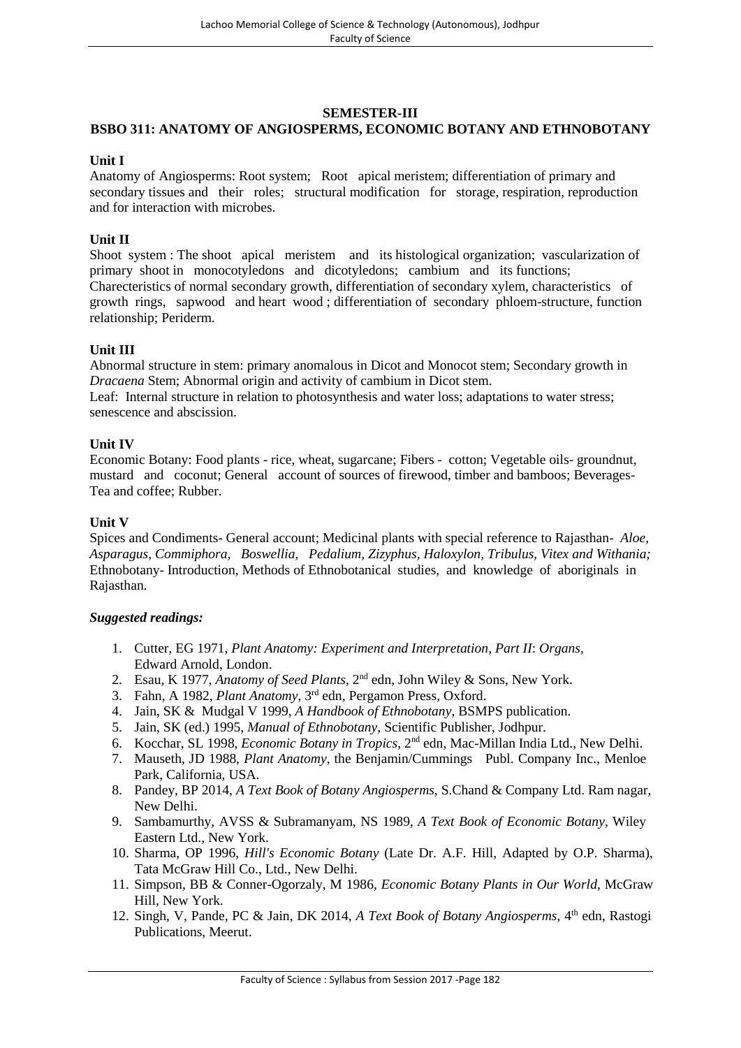# **SEMESTER-III**

## **BSBO 311: ANATOMY OF ANGIOSPERMS, ECONOMIC BOTANY AND ETHNOBOTANY**

#### **Unit I**

Anatomy of Angiosperms: Root system; Root apical meristem; differentiation of primary and secondary tissues and their roles; structural modification for storage, respiration, reproduction and for interaction with microbes.

## **Unit II**

Shoot system : The shoot apical meristem and its histological organization; vascularization of primary shoot in monocotyledons and dicotyledons; cambium and its functions; Charecteristics of normal secondary growth, differentiation of secondary xylem, characteristics of growth rings, sapwood and heart wood ; differentiation of secondary phloem-structure, function relationship; Periderm.

#### **Unit III**

Abnormal structure in stem: primary anomalous in Dicot and Monocot stem; Secondary growth in *Dracaena* Stem; Abnormal origin and activity of cambium in Dicot stem.

Leaf: Internal structure in relation to photosynthesis and water loss; adaptations to water stress; senescence and abscission.

#### **Unit IV**

Economic Botany: Food plants - rice, wheat, sugarcane; Fibers - cotton; Vegetable oils- groundnut, mustard and coconut; General account of sources of firewood, timber and bamboos; Beverages- Tea and coffee; Rubber.

#### **Unit V**

Spices and Condiments- General account; Medicinal plants with special reference to Rajasthan- *Aloe, Asparagus, Commiphora, Boswellia, Pedalium, Zizyphus, Haloxylon, Tribulus, Vitex and Withania;* Ethnobotany- Introduction, Methods of Ethnobotanical studies, and knowledge of aboriginals in Rajasthan.

- 1. Cutter, EG 1971, *Plant Anatomy: Experiment and Interpretation, Part II*: *Organs,* Edward Arnold, London.
- 2. Esau, K 1977, *Anatomy of Seed Plants*, 2nd edn, John Wiley & Sons, New York.
- 3. Fahn, A 1982, *Plant Anatomy*, 3rd edn, Pergamon Press, Oxford.
- 4. Jain, SK & Mudgal V 1999, *A Handbook of Ethnobotany*, BSMPS publication.
- 5. Jain, SK (ed.) 1995, *Manual of Ethnobotany*, Scientific Publisher, Jodhpur.
- 6. Kocchar, SL 1998, *Economic Botany in Tropics*, 2nd edn, Mac-Millan India Ltd., New Delhi.
- 7. Mauseth, JD 1988*, Plant Anatomy*, the Benjamin/Cummings Publ. Company Inc., Menloe Park, California, USA.
- 8. Pandey, BP 2014, *A Text Book of Botany Angiosperms*, S.Chand & Company Ltd. Ram nagar, New Delhi.
- 9. Sambamurthy, AVSS & Subramanyam, NS 1989, *A Text Book of Economic Botany*, Wiley Eastern Ltd., New York.
- 10. Sharma, OP 1996, *Hill's Economic Botany* (Late Dr. A.F. Hill, Adapted by O.P. Sharma), Tata McGraw Hill Co., Ltd., New Delhi.
- 11. Simpson, BB & Conner-Ogorzaly, M 1986, *Economic Botany Plants in Our World*, McGraw Hill, New York.
- 12. Singh, V, Pande, PC & Jain, DK 2014, *A Text Book of Botany Angiosperms*, 4th edn, Rastogi Publications, Meerut.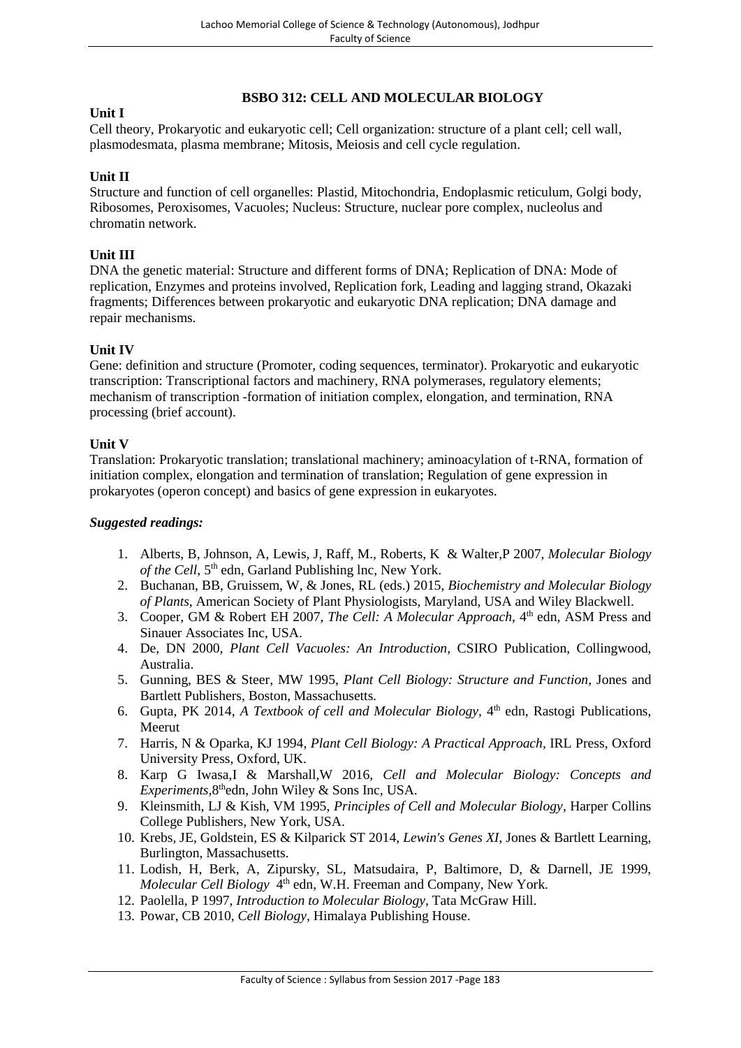# **BSBO 312: CELL AND MOLECULAR BIOLOGY**

#### **Unit I**

Cell theory, Prokaryotic and eukaryotic cell; Cell organization: structure of a plant cell; cell wall, plasmodesmata, plasma membrane; Mitosis, Meiosis and cell cycle regulation.

#### **Unit II**

Structure and function of cell organelles: Plastid, Mitochondria, Endoplasmic reticulum, Golgi body, Ribosomes, Peroxisomes, Vacuoles; Nucleus: Structure, nuclear pore complex, nucleolus and chromatin network.

#### **Unit III**

DNA the genetic material: Structure and different forms of DNA; Replication of DNA: Mode of replication, Enzymes and proteins involved, Replication fork, Leading and lagging strand, Okazaki fragments; Differences between prokaryotic and eukaryotic DNA replication; DNA damage and repair mechanisms.

#### **Unit IV**

Gene: definition and structure (Promoter, coding sequences, terminator). Prokaryotic and eukaryotic transcription: Transcriptional factors and machinery, RNA polymerases, regulatory elements; mechanism of transcription -formation of initiation complex, elongation, and termination, RNA processing (brief account).

#### **Unit V**

Translation: Prokaryotic translation; translational machinery; aminoacylation of t-RNA, formation of initiation complex, elongation and termination of translation; Regulation of gene expression in prokaryotes (operon concept) and basics of gene expression in eukaryotes.

- 1. Alberts, B, Johnson, A, Lewis, J, Raff, M., Roberts, K & Walter,P 2007, *Molecular Biology* of the Cell, 5<sup>th</sup> edn, Garland Publishing lnc, New York.
- 2. Buchanan, BB, Gruissem, W, & Jones, RL (eds.) 2015, *Biochemistry and Molecular Biology of Plants*, American Society of Plant Physiologists, Maryland, USA and Wiley Blackwell.
- 3. Cooper, GM & Robert EH 2007, *The Cell: A Molecular Approach*, 4<sup>th</sup> edn, ASM Press and Sinauer Associates Inc, USA.
- 4. De, DN 2000, *Plant Cell Vacuoles: An Introduction*, CSIRO Publication, Collingwood, Australia.
- 5. Gunning, BES & Steer, MW 1995, *Plant Cell Biology: Structure and Function,* Jones and Bartlett Publishers, Boston, Massachusetts.
- 6. Gupta, PK 2014, *A Textbook of cell and Molecular Biology*, 4th edn, Rastogi Publications, Meerut
- 7. Harris, N & Oparka, KJ 1994, *Plant Cell Biology: A Practical Approach,* IRL Press, Oxford University Press, Oxford, UK.
- 8. Karp G Iwasa,I & Marshall,W 2016, *Cell and Molecular Biology: Concepts and Experiments,*8 thedn, John Wiley & Sons Inc, USA.
- 9. Kleinsmith, LJ & Kish, VM 1995, *Principles of Cell and Molecular Biology*, Harper Collins College Publishers, New York, USA.
- 10. Krebs, JE, Goldstein, ES & Kilparick ST 2014, *Lewin's Genes XI*, Jones & Bartlett Learning, Burlington, Massachusetts.
- 11. Lodish, H, Berk, A, Zipursky, SL, Matsudaira, P, Baltimore, D, & Darnell, JE 1999, *Molecular Cell Biology* 4<sup>th</sup> edn, W.H. Freeman and Company, New York.
- 12. Paolella, P 1997, *Introduction to Molecular Biology*, Tata McGraw Hill.
- 13. Powar, CB 2010, *Cell Biology*, Himalaya Publishing House.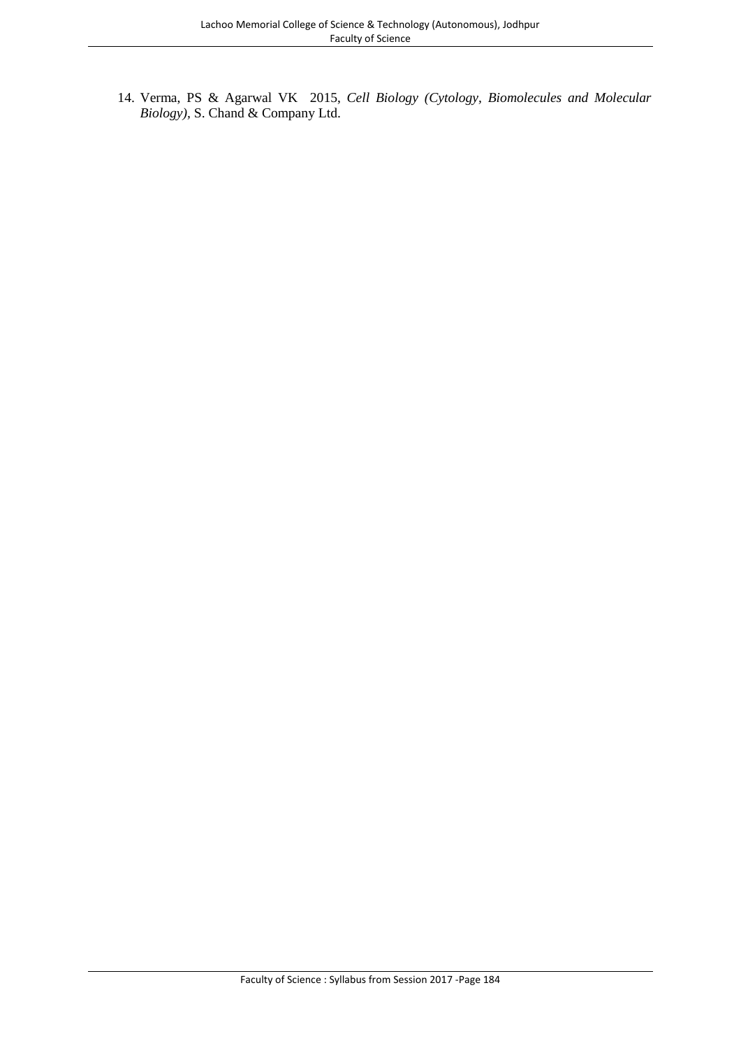14. Verma, PS & Agarwal VK 2015, *Cell Biology (Cytology, Biomolecules and Molecular Biology),* S. Chand & Company Ltd.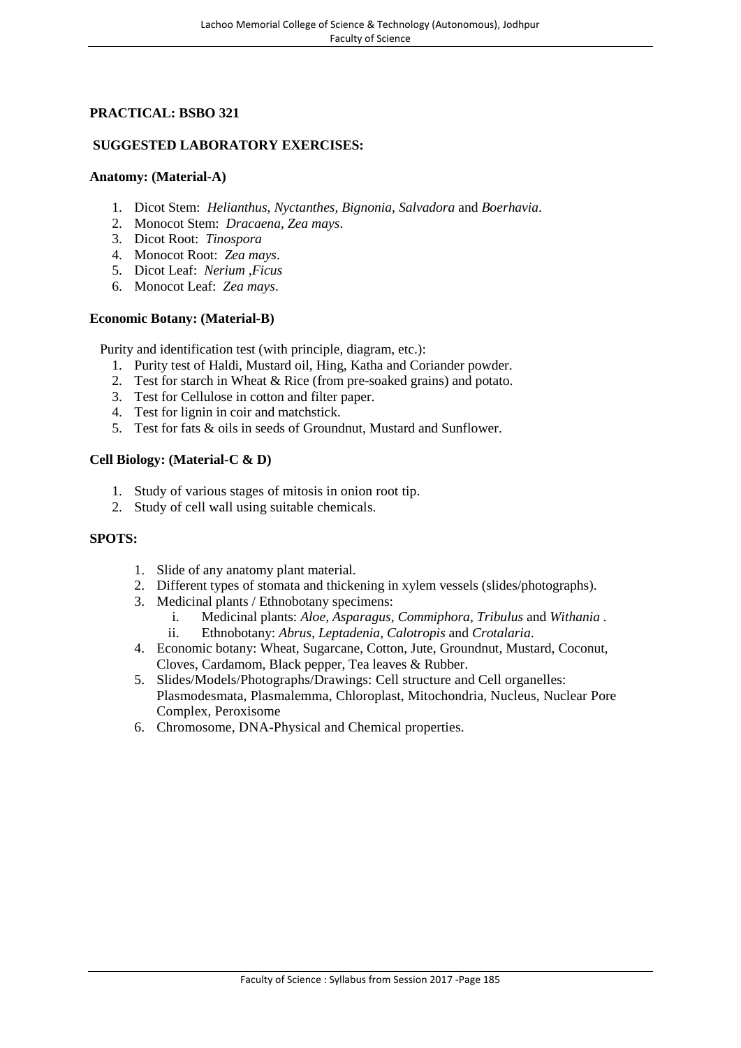# **PRACTICAL: BSBO 321**

# **SUGGESTED LABORATORY EXERCISES:**

#### **Anatomy: (Material-A)**

- 1. Dicot Stem: *Helianthus*, *Nyctanthes, Bignonia, Salvadora* and *Boerhavia*.
- 2. Monocot Stem: *Dracaena, Zea mays*.
- 3. Dicot Root: *Tinospora*
- 4. Monocot Root: *Zea mays*.
- 5. Dicot Leaf: *Nerium ,Ficus*
- 6. Monocot Leaf: *Zea mays*.

#### **Economic Botany: (Material-B)**

Purity and identification test (with principle, diagram, etc.):

- 1. Purity test of Haldi, Mustard oil, Hing, Katha and Coriander powder.
- 2. Test for starch in Wheat & Rice (from pre-soaked grains) and potato.
- 3. Test for Cellulose in cotton and filter paper.
- 4. Test for lignin in coir and matchstick.
- 5. Test for fats & oils in seeds of Groundnut, Mustard and Sunflower.

#### **Cell Biology: (Material-C & D)**

- 1. Study of various stages of mitosis in onion root tip.
- 2. Study of cell wall using suitable chemicals.

#### **SPOTS:**

- 1. Slide of any anatomy plant material.
- 2. Different types of stomata and thickening in xylem vessels (slides/photographs).
- 3. Medicinal plants / Ethnobotany specimens:
	- i. Medicinal plants: *Aloe, Asparagus, Commiphora, Tribulus* and *Withania .* ii. Ethnobotany: *Abrus, Leptadenia, Calotropis* and *Crotalaria*.
- 4. Economic botany: Wheat, Sugarcane, Cotton, Jute, Groundnut, Mustard, Coconut, Cloves, Cardamom, Black pepper, Tea leaves & Rubber.
- 5. Slides/Models/Photographs/Drawings: Cell structure and Cell organelles: Plasmodesmata, Plasmalemma, Chloroplast, Mitochondria, Nucleus, Nuclear Pore Complex, Peroxisome
- 6. Chromosome, DNA-Physical and Chemical properties.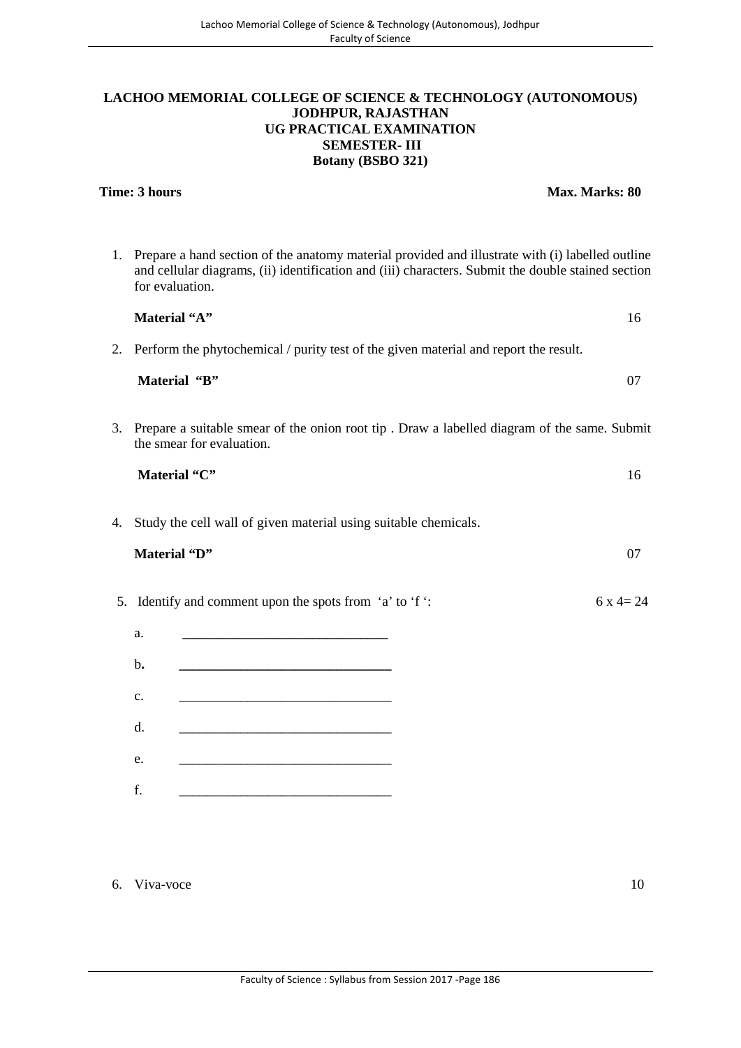#### **LACHOO MEMORIAL COLLEGE OF SCIENCE & TECHNOLOGY (AUTONOMOUS) JODHPUR, RAJASTHAN UG PRACTICAL EXAMINATION SEMESTER- III Botany (BSBO 321)**

**Time: 3 hours Max. Marks: 80**

|    | 1. Prepare a hand section of the anatomy material provided and illustrate with (i) labelled outline<br>and cellular diagrams, (ii) identification and (iii) characters. Submit the double stained section<br>for evaluation. |          |
|----|------------------------------------------------------------------------------------------------------------------------------------------------------------------------------------------------------------------------------|----------|
|    | Material "A"                                                                                                                                                                                                                 | 16       |
| 2. | Perform the phytochemical / purity test of the given material and report the result.                                                                                                                                         |          |
|    | Material "B"                                                                                                                                                                                                                 | 07       |
|    | 3. Prepare a suitable smear of the onion root tip. Draw a labelled diagram of the same. Submit<br>the smear for evaluation.                                                                                                  |          |
|    | Material "C"                                                                                                                                                                                                                 | 16       |
| 4. | Study the cell wall of given material using suitable chemicals.<br>Material "D"                                                                                                                                              | 07       |
|    | 5. Identify and comment upon the spots from 'a' to 'f ':                                                                                                                                                                     | $6x4=24$ |
|    | a.                                                                                                                                                                                                                           |          |
|    | $\mathbf{b}$ .                                                                                                                                                                                                               |          |
|    | $\mathbf{c}$ .                                                                                                                                                                                                               |          |
|    | d.                                                                                                                                                                                                                           |          |
|    | e.<br><u> 1989 - Johann Barn, mars ann an t-Amhain an t-Amhain an t-Amhain an t-Amhain an t-Amhain an t-Amhain an t-Amh</u>                                                                                                  |          |
|    | f.                                                                                                                                                                                                                           |          |
|    |                                                                                                                                                                                                                              |          |

#### 6. Viva-voce 10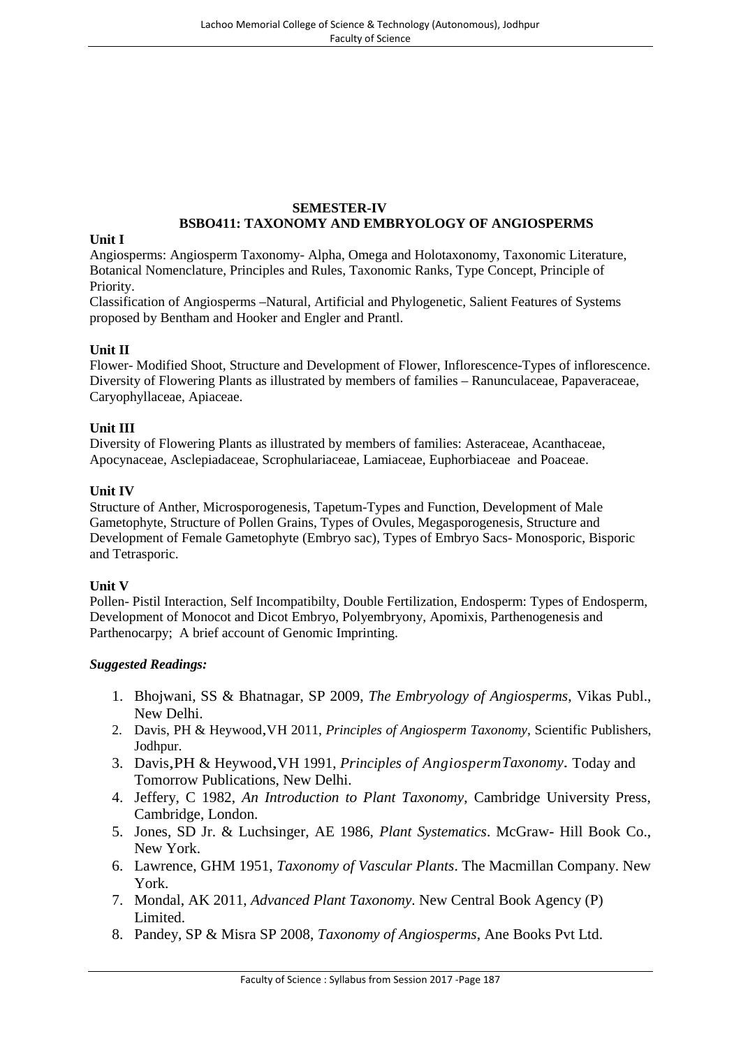# **SEMESTER-IV BSBO411: TAXONOMY AND EMBRYOLOGY OF ANGIOSPERMS**

#### **Unit I**

Angiosperms: Angiosperm Taxonomy- Alpha, Omega and Holotaxonomy, Taxonomic Literature, Botanical Nomenclature, Principles and Rules, Taxonomic Ranks, Type Concept, Principle of Priority.

Classification of Angiosperms –Natural, Artificial and Phylogenetic, Salient Features of Systems proposed by Bentham and Hooker and Engler and Prantl.

#### **Unit II**

Flower- Modified Shoot, Structure and Development of Flower, Inflorescence-Types of inflorescence. Diversity of Flowering Plants as illustrated by members of families – Ranunculaceae, Papaveraceae, Caryophyllaceae, Apiaceae.

#### **Unit III**

Diversity of Flowering Plants as illustrated by members of families: Asteraceae, Acanthaceae, Apocynaceae, Asclepiadaceae, Scrophulariaceae, Lamiaceae, Euphorbiaceae and Poaceae.

#### **Unit IV**

Structure of Anther, Microsporogenesis, Tapetum-Types and Function, Development of Male Gametophyte, Structure of Pollen Grains, Types of Ovules, Megasporogenesis, Structure and Development of Female Gametophyte (Embryo sac), Types of Embryo Sacs- Monosporic, Bisporic and Tetrasporic.

#### **Unit V**

Pollen- Pistil Interaction, Self Incompatibilty, Double Fertilization, Endosperm: Types of Endosperm, Development of Monocot and Dicot Embryo, Polyembryony, Apomixis, Parthenogenesis and Parthenocarpy; A brief account of Genomic Imprinting.

- 1. Bhojwani, SS & Bhatnagar, SP 2009, *The Embryology of Angiosperms*, Vikas Publ., New Delhi.
- 2. Davis, PH & Heywood,VH 2011, *Principles of Angiosperm Taxonomy*, Scientific Publishers, Jodhpur.
- 3. Davis,PH & Heywood,VH 1991, *Principles of AngiospermTaxonomy.* Today and Tomorrow Publications, New Delhi.
- 4. Jeffery, C 1982, *An Introduction to Plant Taxonomy*, Cambridge University Press, Cambridge, London.
- 5. Jones, SD Jr. & Luchsinger, AE 1986, *Plant Systematics*. McGraw- Hill Book Co., New York.
- 6. Lawrence, GHM 1951, *Taxonomy of Vascular Plants*. The Macmillan Company. New York.
- 7. Mondal, AK 2011, *Advanced Plant Taxonomy*. New Central Book Agency (P) Limited.
- 8. Pandey, SP & Misra SP 2008, *Taxonomy of Angiosperms*, Ane Books Pvt Ltd.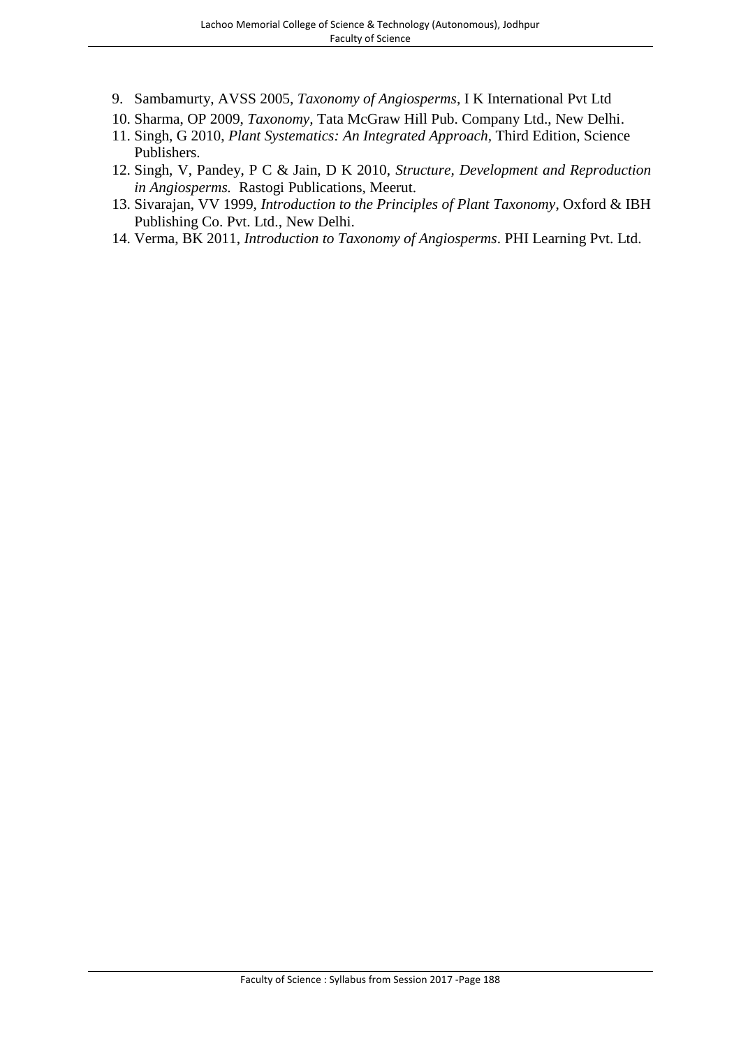- 9. Sambamurty, AVSS 2005, *Taxonomy of Angiosperms*, I K International Pvt Ltd
- 10. Sharma, OP 2009, *Taxonomy,* Tata McGraw Hill Pub. Company Ltd., New Delhi.
- 11. Singh, G 2010, *Plant Systematics: An Integrated Approach,* Third Edition, Science Publishers.
- 12. Singh, V, Pandey, P C & Jain, D K 2010, *Structure, Development and Reproduction in Angiosperms.* Rastogi Publications, Meerut.
- 13. Sivarajan, VV 1999, *Introduction to the Principles of Plant Taxonomy*, Oxford & IBH Publishing Co. Pvt. Ltd., New Delhi.
- 14. Verma, BK 2011, *Introduction to Taxonomy of Angiosperms*. PHI Learning Pvt. Ltd.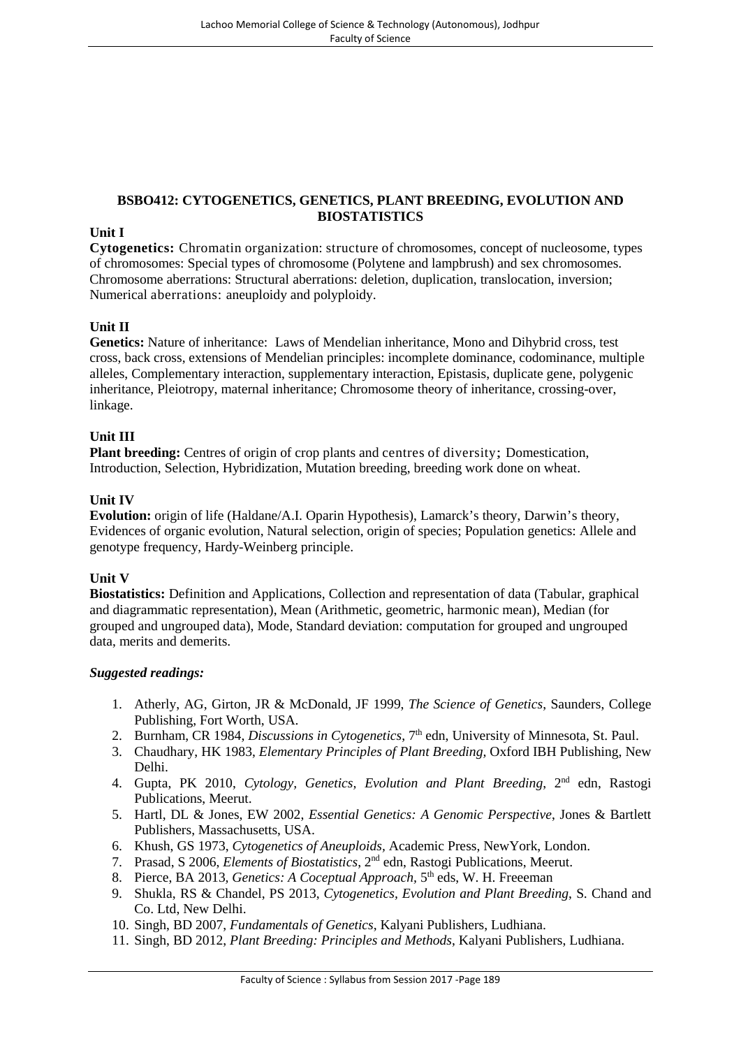# **BSBO412: CYTOGENETICS, GENETICS, PLANT BREEDING, EVOLUTION AND BIOSTATISTICS**

## **Unit I**

**Cytogenetics:** Chromatin organization: structure of chromosomes, concept of nucleosome, types of chromosomes: Special types of chromosome (Polytene and lampbrush) and sex chromosomes. Chromosome aberrations: Structural aberrations: deletion, duplication, translocation, inversion; Numerical aberrations: aneuploidy and polyploidy.

# **Unit II**

**Genetics:** Nature of inheritance: Laws of Mendelian inheritance, Mono and Dihybrid cross, test cross, back cross, extensions of Mendelian principles: incomplete dominance, codominance, multiple alleles, Complementary interaction, supplementary interaction, Epistasis, duplicate gene, polygenic inheritance, Pleiotropy, maternal inheritance; Chromosome theory of inheritance, crossing-over, linkage.

#### **Unit III**

**Plant breeding:** Centres of origin of crop plants and centres of diversity; Domestication, Introduction, Selection, Hybridization, Mutation breeding, breeding work done on wheat.

#### **Unit IV**

**Evolution:** origin of life (Haldane/A.I. Oparin Hypothesis), Lamarck's theory, Darwin's theory, Evidences of organic evolution, Natural selection, origin of species; Population genetics: Allele and genotype frequency, Hardy-Weinberg principle.

#### **Unit V**

**Biostatistics:** Definition and Applications, Collection and representation of data (Tabular, graphical and diagrammatic representation), Mean (Arithmetic, geometric, harmonic mean), Median (for grouped and ungrouped data), Mode, Standard deviation: computation for grouped and ungrouped data, merits and demerits.

- 1. Atherly, AG, Girton, JR & McDonald, JF 1999, *The Science of Genetics*, Saunders, College Publishing, Fort Worth, USA.
- 2. Burnham, CR 1984, *Discussions in Cytogenetics*, 7<sup>th</sup> edn, University of Minnesota, St. Paul.
- 3. Chaudhary, HK 1983, *Elementary Principles of Plant Breeding,* Oxford IBH Publishing, New Delhi.
- 4. Gupta, PK 2010, *Cytology, Genetics, Evolution and Plant Breeding*, 2nd edn, Rastogi Publications, Meerut.
- 5. Hartl, DL & Jones, EW 2002, *Essential Genetics: A Genomic Perspective*, Jones & Bartlett Publishers, Massachusetts, USA.
- 6. Khush, GS 1973, *Cytogenetics of Aneuploids,* Academic Press, NewYork, London.
- 7. Prasad, S 2006, *Elements of Biostatistics*, 2nd edn, Rastogi Publications, Meerut.
- 8. Pierce, BA 2013, *Genetics: A Coceptual Approach*, 5<sup>th</sup> eds, W. H. Freeeman
- 9. Shukla, RS & Chandel, PS 2013, *Cytogenetics, Evolution and Plant Breeding*, S. Chand and Co. Ltd, New Delhi.
- 10. Singh, BD 2007, *Fundamentals of Genetics*, Kalyani Publishers, Ludhiana.
- 11. Singh, BD 2012, *Plant Breeding: Principles and Methods*, Kalyani Publishers, Ludhiana.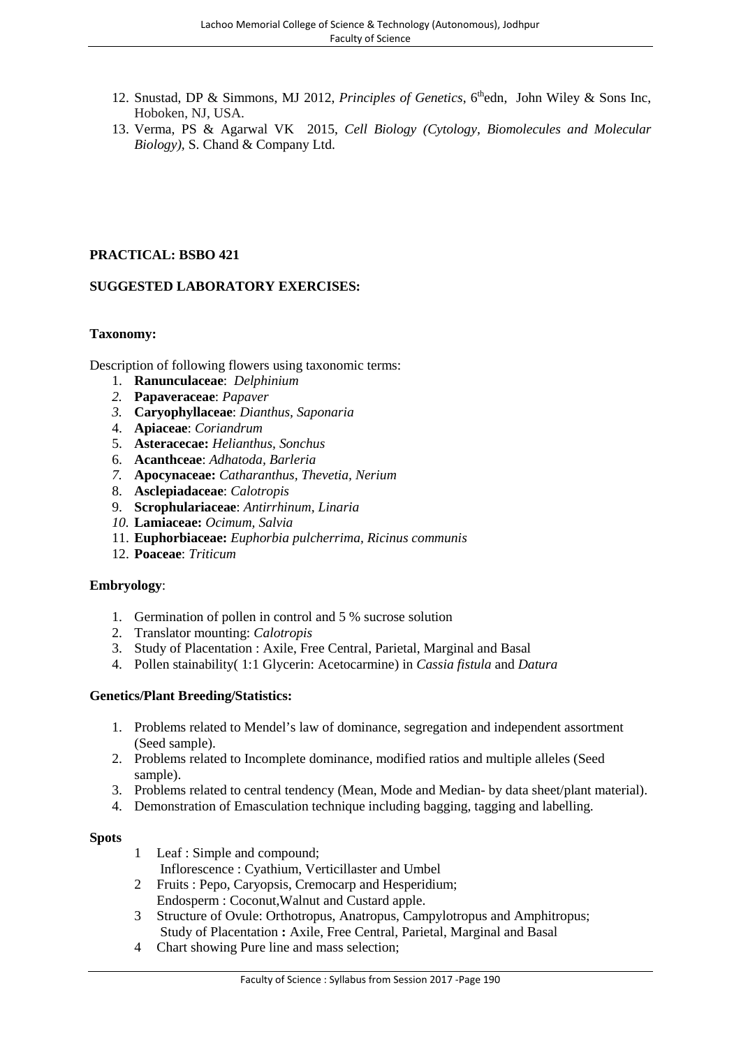- 12. Snustad, DP & Simmons, MJ 2012, *Principles of Genetics*, 6<sup>th</sup>edn, John Wiley & Sons Inc, Hoboken, NJ, USA.
- 13. Verma, PS & Agarwal VK 2015, *Cell Biology (Cytology, Biomolecules and Molecular Biology),* S. Chand & Company Ltd.

# **PRACTICAL: BSBO 421**

# **SUGGESTED LABORATORY EXERCISES:**

# **Taxonomy:**

Description of following flowers using taxonomic terms:

- 1. **Ranunculaceae**: *Delphinium*
- *2.* **Papaveraceae**: *Papaver*
- *3.* **Caryophyllaceae**: *Dianthus, Saponaria*
- 4. **Apiaceae**: *Coriandrum*
- 5. **Asteracecae:** *Helianthus, Sonchus*
- 6. **Acanthceae**: *Adhatoda, Barleria*
- *7.* **Apocynaceae:** *Catharanthus, Thevetia, Nerium*
- 8. **Asclepiadaceae**: *Calotropis*
- 9. **Scrophulariaceae**: *Antirrhinum, Linaria*
- *10.* **Lamiaceae:** *Ocimum, Salvia*
- 11. **Euphorbiaceae:** *Euphorbia pulcherrima, Ricinus communis*
- 12. **Poaceae**: *Triticum*

# **Embryology**:

- 1. Germination of pollen in control and 5 % sucrose solution
- 2. Translator mounting: *Calotropis*
- 3. Study of Placentation : Axile, Free Central, Parietal, Marginal and Basal
- 4. Pollen stainability( 1:1 Glycerin: Acetocarmine) in *Cassia fistula* and *Datura*

#### **Genetics/Plant Breeding/Statistics:**

- 1. Problems related to Mendel's law of dominance, segregation and independent assortment (Seed sample).
- 2. Problems related to Incomplete dominance, modified ratios and multiple alleles (Seed sample).
- 3. Problems related to central tendency (Mean, Mode and Median- by data sheet/plant material).
- 4. Demonstration of Emasculation technique including bagging, tagging and labelling.

#### **Spots**

- 1 Leaf : Simple and compound; Inflorescence : Cyathium, Verticillaster and Umbel
- 2 Fruits : Pepo, Caryopsis, Cremocarp and Hesperidium; Endosperm : Coconut,Walnut and Custard apple.
- 3 Structure of Ovule: Orthotropus, Anatropus, Campylotropus and Amphitropus; Study of Placentation **:** Axile, Free Central, Parietal, Marginal and Basal
- 4 Chart showing Pure line and mass selection;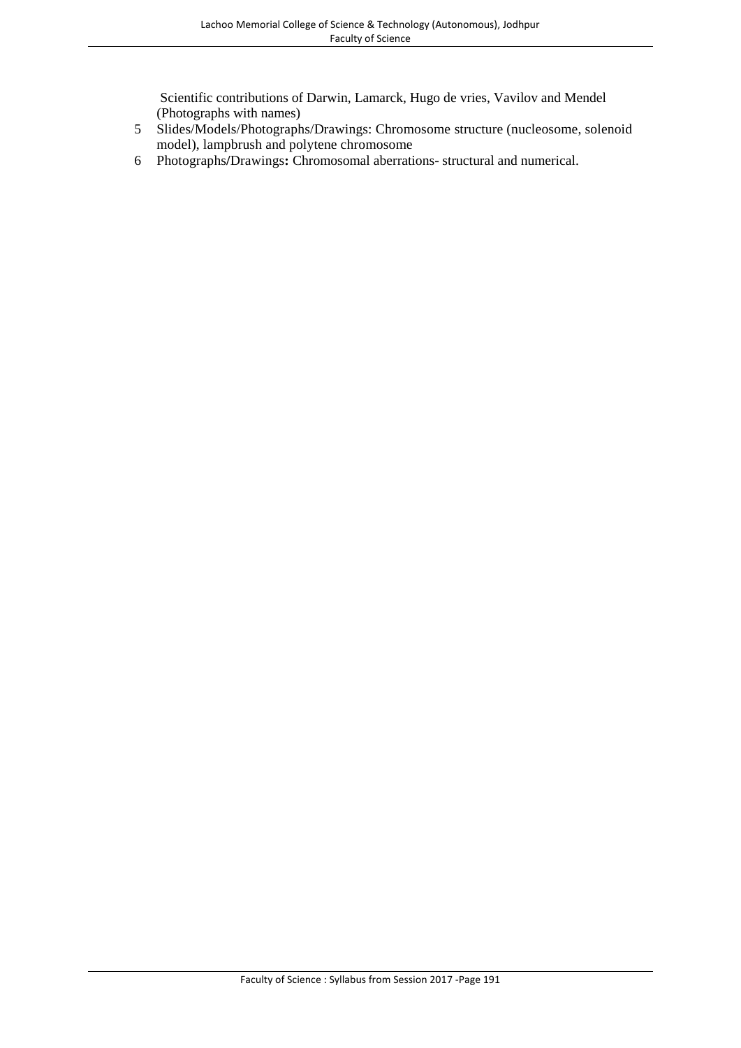Scientific contributions of Darwin, Lamarck, Hugo de vries, Vavilov and Mendel (Photographs with names)

- 5 Slides/Models/Photographs/Drawings: Chromosome structure (nucleosome, solenoid model), lampbrush and polytene chromosome
- 6 Photographs**/**Drawings**:** Chromosomal aberrations- structural and numerical.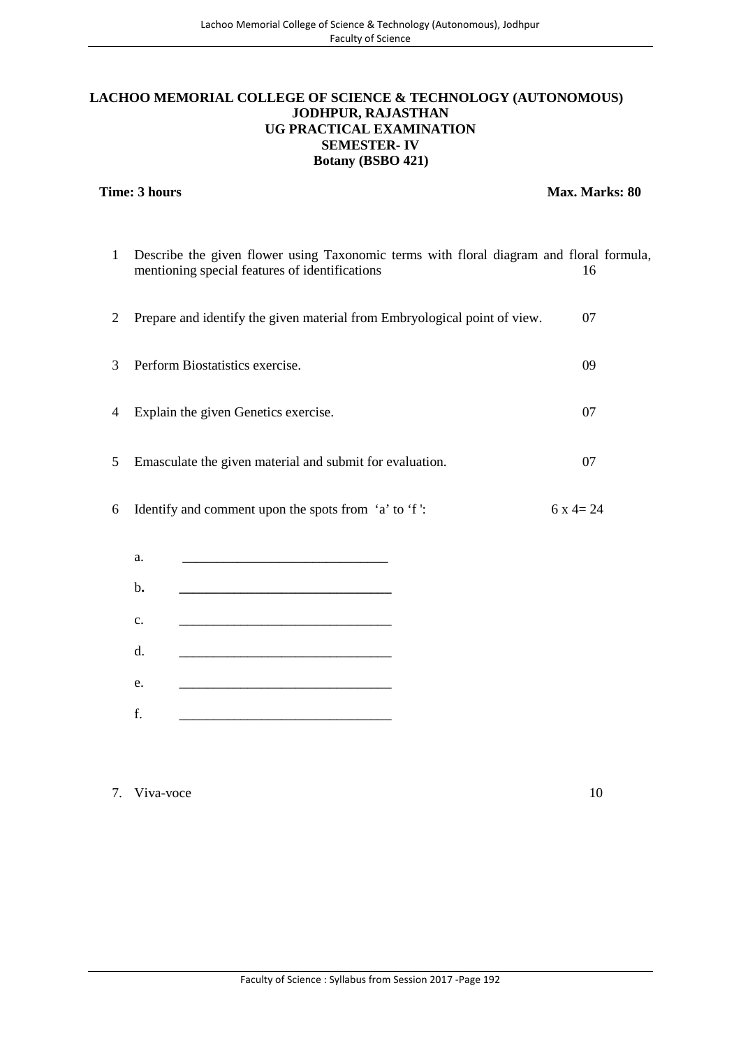## **LACHOO MEMORIAL COLLEGE OF SCIENCE & TECHNOLOGY (AUTONOMOUS) JODHPUR, RAJASTHAN UG PRACTICAL EXAMINATION SEMESTER- IV Botany (BSBO 421)**

**Time: 3 hours Max. Marks: 80** 

|   | Describe the given flower using Taxonomic terms with floral diagram and floral formula,<br>mentioning special features of identifications | 16       |
|---|-------------------------------------------------------------------------------------------------------------------------------------------|----------|
| 2 | Prepare and identify the given material from Embryological point of view.                                                                 | 07       |
| 3 | Perform Biostatistics exercise.                                                                                                           | 09       |
| 4 | Explain the given Genetics exercise.                                                                                                      | 07       |
| 5 | Emasculate the given material and submit for evaluation.                                                                                  | 07       |
| 6 | Identify and comment upon the spots from 'a' to 'f':                                                                                      | $6x4=24$ |

| a. |  |
|----|--|
| b. |  |
| c. |  |
| d. |  |
| e. |  |
| f. |  |

7. Viva-voce 10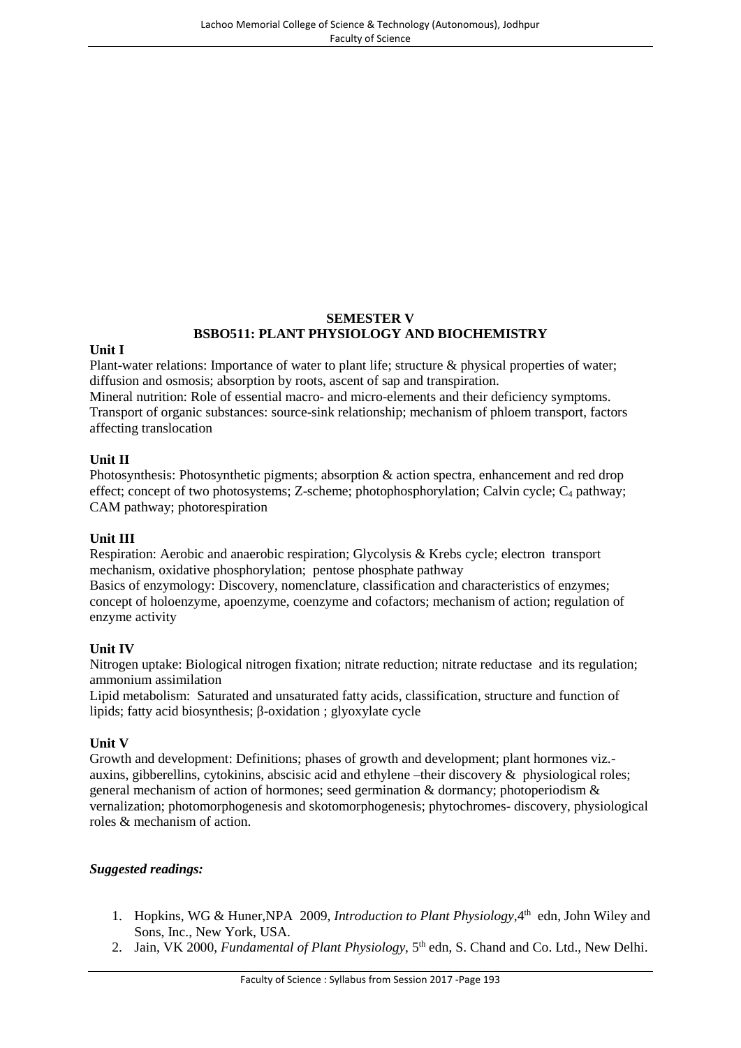# **SEMESTER V BSBO511: PLANT PHYSIOLOGY AND BIOCHEMISTRY**

#### **Unit I**

Plant-water relations: Importance of water to plant life; structure & physical properties of water; diffusion and osmosis; absorption by roots, ascent of sap and transpiration.

Mineral nutrition: Role of essential macro- and micro-elements and their deficiency symptoms. Transport of organic substances: source-sink relationship; mechanism of phloem transport, factors affecting translocation

#### **Unit II**

Photosynthesis: Photosynthetic pigments; absorption & action spectra, enhancement and red drop effect; concept of two photosystems; Z-scheme; photophosphorylation; Calvin cycle;  $C_4$  pathway; CAM pathway; photorespiration

# **Unit III**

Respiration: Aerobic and anaerobic respiration; Glycolysis & Krebs cycle; electron transport mechanism, oxidative phosphorylation; pentose phosphate pathway Basics of enzymology: Discovery, nomenclature, classification and characteristics of enzymes; concept of holoenzyme, apoenzyme, coenzyme and cofactors; mechanism of action; regulation of enzyme activity

# **Unit IV**

Nitrogen uptake: Biological nitrogen fixation; nitrate reduction; nitrate reductase and its regulation; ammonium assimilation

Lipid metabolism: Saturated and unsaturated fatty acids, classification, structure and function of lipids; fatty acid biosynthesis; -oxidation ; glyoxylate cycle

# **Unit V**

Growth and development: Definitions; phases of growth and development; plant hormones viz. auxins, gibberellins, cytokinins, abscisic acid and ethylene –their discovery & physiological roles; general mechanism of action of hormones; seed germination & dormancy; photoperiodism & vernalization; photomorphogenesis and skotomorphogenesis; phytochromes- discovery, physiological roles & mechanism of action.

- 1. Hopkins, WG & Huner, NPA 2009, *Introduction to Plant Physiology*, 4<sup>th</sup> edn, John Wiley and Sons, Inc., New York, USA.
- 2. Jain, VK 2000, *Fundamental of Plant Physiology*, 5<sup>th</sup> edn, S. Chand and Co. Ltd., New Delhi.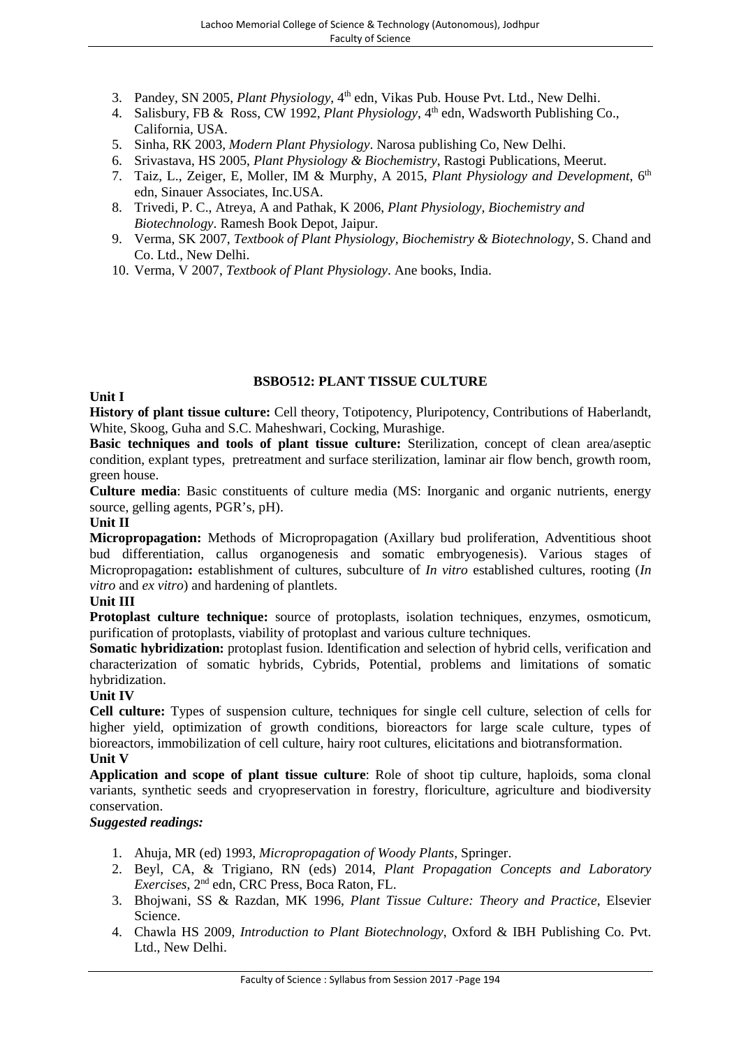- 3. Pandey, SN 2005, *Plant Physiology*, 4th edn, Vikas Pub. House Pvt. Ltd., New Delhi.
- 4. Salisbury, FB & Ross, CW 1992, *Plant Physiology*, 4<sup>th</sup> edn, Wadsworth Publishing Co., California, USA.
- 5. Sinha, RK 2003, *Modern Plant Physiology*. Narosa publishing Co, New Delhi.
- 6. Srivastava, HS 2005, *Plant Physiology & Biochemistry*, Rastogi Publications, Meerut.
- 7. Taiz, L., Zeiger, E, Moller, IM & Murphy, A 2015, *Plant Physiology and Development*, 6 th edn, Sinauer Associates, Inc.USA.
- 8. Trivedi, P. C., Atreya, A and Pathak, K 2006, *Plant Physiology, Biochemistry and Biotechnology*. Ramesh Book Depot, Jaipur.
- 9. Verma, SK 2007, *Textbook of Plant Physiology, Biochemistry & Biotechnology*, S. Chand and Co. Ltd., New Delhi.
- 10. Verma, V 2007, *Textbook of Plant Physiology*. Ane books, India.

# **BSBO512: PLANT TISSUE CULTURE**

#### **Unit I**

**History of plant tissue culture:** Cell theory, Totipotency, Pluripotency, Contributions of Haberlandt, White, Skoog, Guha and S.C. Maheshwari, Cocking, Murashige.

**Basic techniques and tools of plant tissue culture:** Sterilization, concept of clean area/aseptic condition, explant types, pretreatment and surface sterilization, laminar air flow bench, growth room, green house.

**Culture media**: Basic constituents of culture media (MS: Inorganic and organic nutrients, energy source, gelling agents, PGR's, pH).

#### **Unit II**

**Micropropagation:** Methods of Micropropagation (Axillary bud proliferation, Adventitious shoot bud differentiation, callus organogenesis and somatic embryogenesis). Various stages of Micropropagation**:** establishment of cultures, subculture of *In vitro* established cultures, rooting (*In vitro* and *ex vitro*) and hardening of plantlets.

# **Unit III**

**Protoplast culture technique:** source of protoplasts, isolation techniques, enzymes, osmoticum, purification of protoplasts, viability of protoplast and various culture techniques.

**Somatic hybridization:** protoplast fusion. Identification and selection of hybrid cells, verification and characterization of somatic hybrids, Cybrids, Potential, problems and limitations of somatic hybridization.

#### **Unit IV**

**Cell culture:** Types of suspension culture, techniques for single cell culture, selection of cells for higher yield, optimization of growth conditions, bioreactors for large scale culture, types of bioreactors, immobilization of cell culture, hairy root cultures, elicitations and biotransformation. **Unit V**

**Application and scope of plant tissue culture**: Role of shoot tip culture, haploids, soma clonal variants, synthetic seeds and cryopreservation in forestry, floriculture, agriculture and biodiversity conservation.

- 1. Ahuja, MR (ed) 1993, *Micropropagation of Woody Plants*, Springer.
- 2. Beyl, CA, & Trigiano, RN (eds) 2014, *Plant Propagation Concepts and Laboratory Exercises*, 2nd edn, CRC Press, Boca Raton, FL.
- 3. Bhojwani, SS & Razdan, MK 1996, *Plant Tissue Culture: Theory and Practice*, Elsevier Science.
- 4. Chawla HS 2009, *Introduction to Plant Biotechnology*, Oxford & IBH Publishing Co. Pvt. Ltd., New Delhi.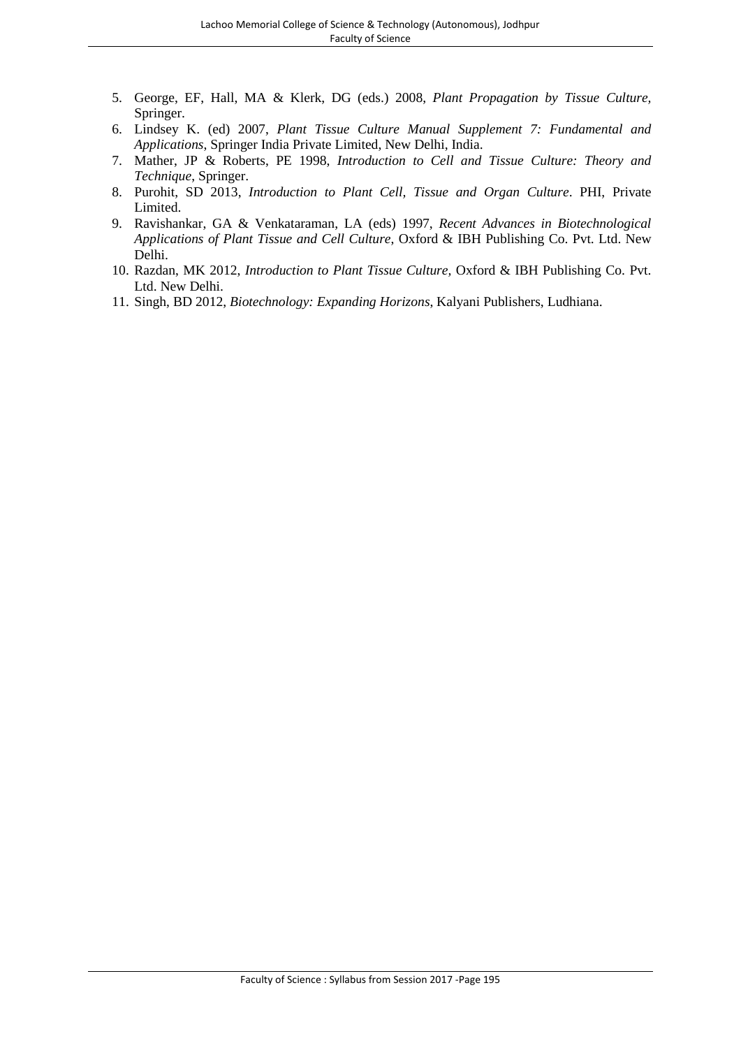- 5. George, EF, Hall, MA & Klerk, DG (eds.) 2008, *Plant Propagation by Tissue Culture,* Springer.
- 6. Lindsey K. (ed) 2007, *Plant Tissue Culture Manual Supplement 7: Fundamental and Applications*, Springer India Private Limited, New Delhi, India.
- 7. Mather, JP & Roberts, PE 1998, *Introduction to Cell and Tissue Culture: Theory and Technique*, Springer.
- 8. Purohit, SD 2013, *Introduction to Plant Cell, Tissue and Organ Culture*. PHI, Private Limited.
- 9. Ravishankar, GA & Venkataraman, LA (eds) 1997, *Recent Advances in Biotechnological Applications of Plant Tissue and Cell Culture*, Oxford & IBH Publishing Co. Pvt. Ltd. New Delhi.
- 10. Razdan, MK 2012, *Introduction to Plant Tissue Culture,* Oxford & IBH Publishing Co. Pvt. Ltd. New Delhi.
- 11. Singh, BD 2012, *Biotechnology: Expanding Horizons*, Kalyani Publishers, Ludhiana.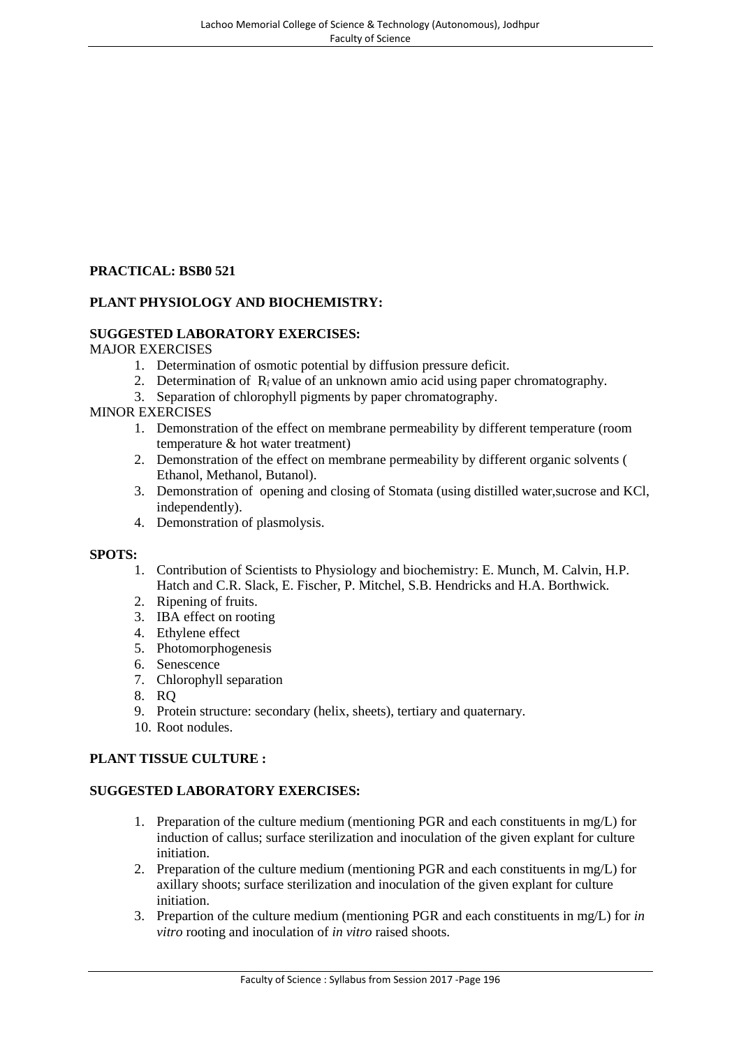# **PRACTICAL: BSB0 521**

# **PLANT PHYSIOLOGY AND BIOCHEMISTRY:**

# **SUGGESTED LABORATORY EXERCISES:**

#### MAJOR EXERCISES

- 1. Determination of osmotic potential by diffusion pressure deficit.
- 2. Determination of  $R_f$  value of an unknown amio acid using paper chromatography.
- 3. Separation of chlorophyll pigments by paper chromatography.

#### MINOR EXERCISES

- 1. Demonstration of the effect on membrane permeability by different temperature (room temperature & hot water treatment)
- 2. Demonstration of the effect on membrane permeability by different organic solvents ( Ethanol, Methanol, Butanol).
- 3. Demonstration of opening and closing of Stomata (using distilled water,sucrose and KCl, independently).
- 4. Demonstration of plasmolysis.

#### **SPOTS:**

- 1. Contribution of Scientists to Physiology and biochemistry: E. Munch, M. Calvin, H.P. Hatch and C.R. Slack, E. Fischer, P. Mitchel, S.B. Hendricks and H.A. Borthwick.
- 2. Ripening of fruits.
- 3. IBA effect on rooting
- 4. Ethylene effect
- 5. Photomorphogenesis
- 6. Senescence
- 7. Chlorophyll separation
- 8. RQ
- 9. Protein structure: secondary (helix, sheets), tertiary and quaternary.
- 10. Root nodules.

# **PLANT TISSUE CULTURE :**

# **SUGGESTED LABORATORY EXERCISES:**

- 1. Preparation of the culture medium (mentioning PGR and each constituents in mg/L) for induction of callus; surface sterilization and inoculation of the given explant for culture initiation.
- 2. Preparation of the culture medium (mentioning PGR and each constituents in mg/L) for axillary shoots; surface sterilization and inoculation of the given explant for culture initiation.
- 3. Prepartion of the culture medium (mentioning PGR and each constituents in mg/L) for *in vitro* rooting and inoculation of *in vitro* raised shoots.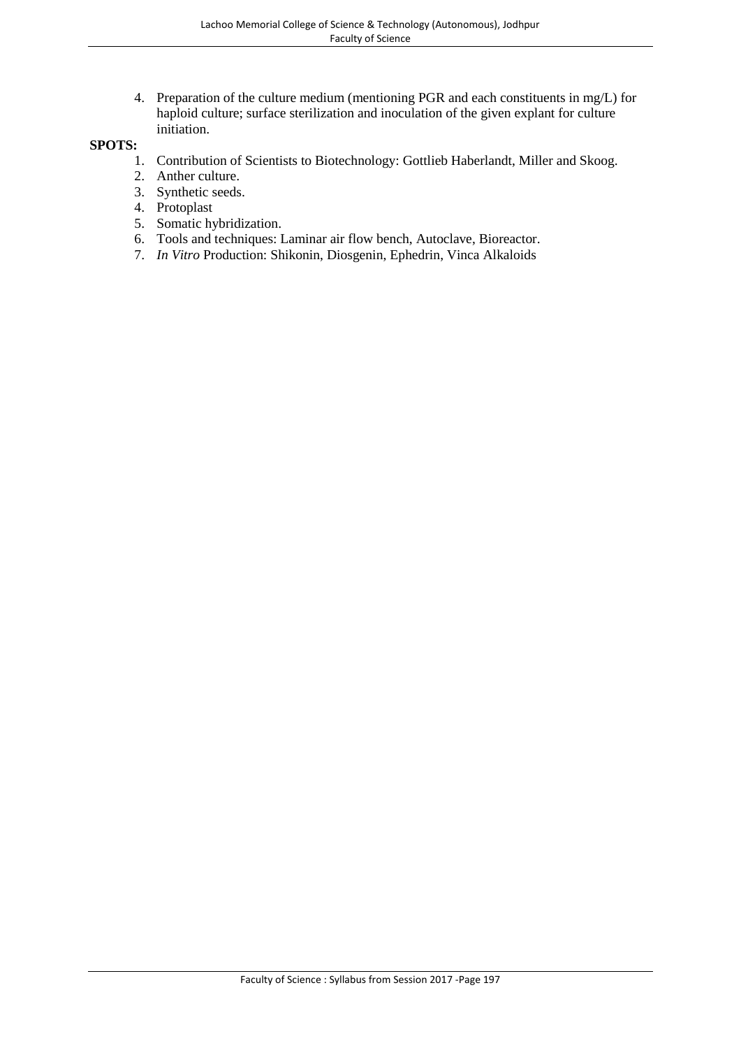4. Preparation of the culture medium (mentioning PGR and each constituents in mg/L) for haploid culture; surface sterilization and inoculation of the given explant for culture initiation.

#### **SPOTS:**

- 1. Contribution of Scientists to Biotechnology: Gottlieb Haberlandt, Miller and Skoog.
- 2. Anther culture.
- 3. Synthetic seeds.
- 4. Protoplast
- 5. Somatic hybridization.
- 6. Tools and techniques: Laminar air flow bench, Autoclave, Bioreactor.
- 7. *In Vitro* Production: Shikonin, Diosgenin, Ephedrin, Vinca Alkaloids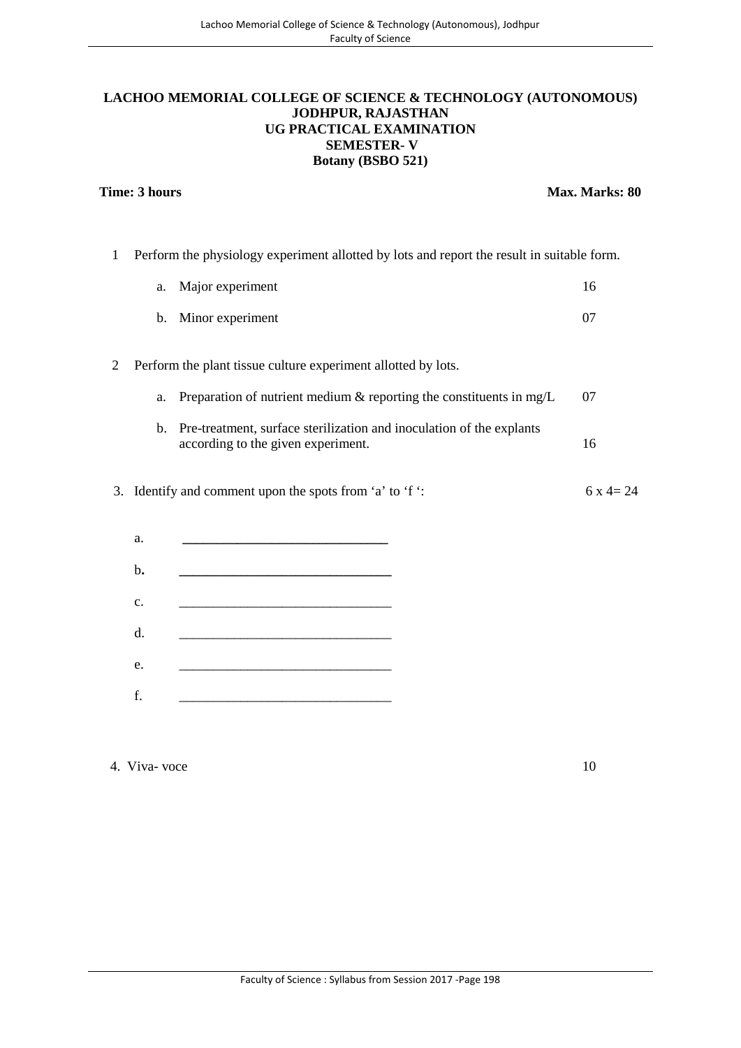# **LACHOO MEMORIAL COLLEGE OF SCIENCE & TECHNOLOGY (AUTONOMOUS) JODHPUR, RAJASTHAN UG PRACTICAL EXAMINATION SEMESTER- V Botany (BSBO 521)**

#### **Time: 3 hours Max. Marks: 80**

1 Perform the physiology experiment allotted by lots and report the result in suitable form.

| a. | Major experiment                                                                                           | 16 |  |
|----|------------------------------------------------------------------------------------------------------------|----|--|
| b. | Minor experiment                                                                                           | 07 |  |
|    | Perform the plant tissue culture experiment allotted by lots.                                              |    |  |
| a. | Preparation of nutrient medium $\&$ reporting the constituents in mg/L                                     | 07 |  |
| b. | Pre-treatment, surface sterilization and inoculation of the explants<br>according to the given experiment. | 16 |  |
|    |                                                                                                            |    |  |

3. Identify and comment upon the spots from 'a' to 'f ':  $6x^2 = 24$ 

| a. |   |  |
|----|---|--|
| b. |   |  |
| c. |   |  |
| d. |   |  |
| e. |   |  |
| f. | - |  |

4. Viva- voce 10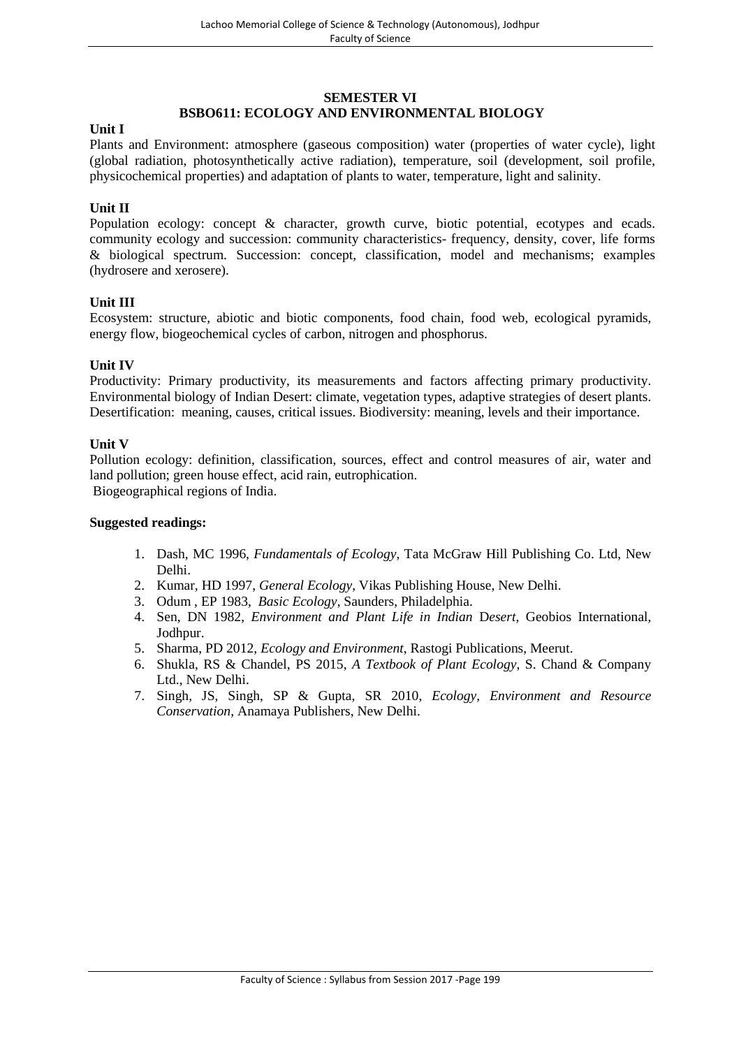#### **SEMESTER VI BSBO611: ECOLOGY AND ENVIRONMENTAL BIOLOGY**

#### **Unit I**

Plants and Environment: atmosphere (gaseous composition) water (properties of water cycle), light (global radiation, photosynthetically active radiation), temperature, soil (development, soil profile, physicochemical properties) and adaptation of plants to water, temperature, light and salinity.

#### **Unit II**

Population ecology: concept & character, growth curve, biotic potential, ecotypes and ecads. community ecology and succession: community characteristics- frequency, density, cover, life forms & biological spectrum. Succession: concept, classification, model and mechanisms; examples (hydrosere and xerosere).

#### **Unit III**

Ecosystem: structure, abiotic and biotic components, food chain, food web, ecological pyramids, energy flow, biogeochemical cycles of carbon, nitrogen and phosphorus.

#### **Unit IV**

Productivity: Primary productivity, its measurements and factors affecting primary productivity. Environmental biology of Indian Desert: climate, vegetation types, adaptive strategies of desert plants. Desertification: meaning, causes, critical issues. Biodiversity: meaning, levels and their importance.

#### **Unit V**

Pollution ecology: definition, classification, sources, effect and control measures of air, water and land pollution; green house effect, acid rain, eutrophication. Biogeographical regions of India.

- 1. Dash, MC 1996, *Fundamentals of Ecology*, Tata McGraw Hill Publishing Co. Ltd, New Delhi.
- 2. Kumar, HD 1997, *General Ecology*, Vikas Publishing House, New Delhi.
- 3. Odum , EP 1983, *Basic Ecology*, Saunders, Philadelphia.
- 4. Sen, DN 1982, *Environment and Plant Life in Indian* D*esert*, Geobios International, Jodhpur.
- 5. Sharma, PD 2012, *Ecology and Environment*, Rastogi Publications, Meerut.
- 6. Shukla, RS & Chandel, PS 2015, *A Textbook of Plant Ecology*, S. Chand & Company Ltd., New Delhi.
- 7. Singh, JS, Singh, SP & Gupta, SR 2010, *Ecology, Environment and Resource Conservation*, Anamaya Publishers, New Delhi.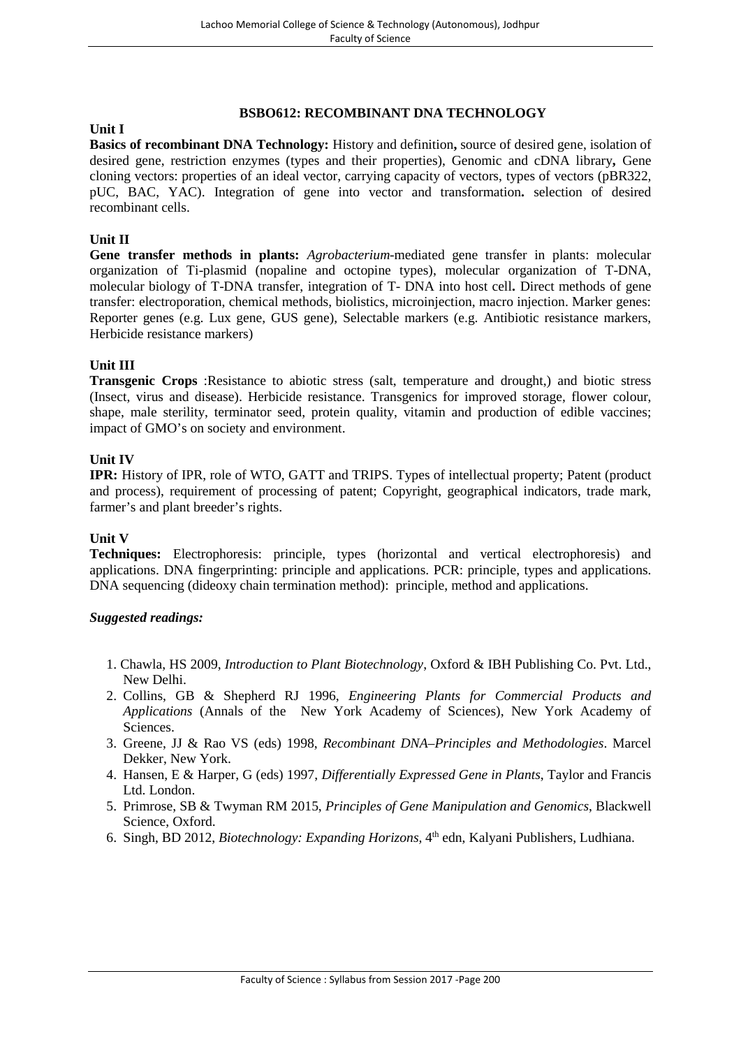#### **BSBO612: RECOMBINANT DNA TECHNOLOGY**

# **Unit I**

**Basics of recombinant DNA Technology:** History and definition**,** source of desired gene, isolation of desired gene, restriction enzymes (types and their properties), Genomic and cDNA library**,** Gene cloning vectors: properties of an ideal vector, carrying capacity of vectors, types of vectors (pBR322, pUC, BAC, YAC). Integration of gene into vector and transformation**.** selection of desired recombinant cells.

## **Unit II**

**Gene transfer methods in plants:** *Agrobacterium*-mediated gene transfer in plants: molecular organization of Ti-plasmid (nopaline and octopine types), molecular organization of T-DNA, molecular biology of T-DNA transfer, integration of T- DNA into host cell**.** Direct methods of gene transfer: electroporation, chemical methods, biolistics, microinjection, macro injection. Marker genes: Reporter genes (e.g. Lux gene, GUS gene), Selectable markers (e.g. Antibiotic resistance markers, Herbicide resistance markers)

#### **Unit III**

**Transgenic Crops** :Resistance to abiotic stress (salt, temperature and drought,) and biotic stress (Insect, virus and disease). Herbicide resistance. Transgenics for improved storage, flower colour, shape, male sterility, terminator seed, protein quality, vitamin and production of edible vaccines; impact of GMO's on society and environment.

#### **Unit IV**

**IPR:** History of IPR, role of WTO, GATT and TRIPS. Types of intellectual property; Patent (product and process), requirement of processing of patent; Copyright, geographical indicators, trade mark, farmer's and plant breeder's rights.

#### **Unit V**

**Techniques:** Electrophoresis: principle, types (horizontal and vertical electrophoresis) and applications. DNA fingerprinting: principle and applications. PCR: principle, types and applications. DNA sequencing (dideoxy chain termination method): principle, method and applications.

- 1. Chawla, HS 2009, *Introduction to Plant Biotechnology*, Oxford & IBH Publishing Co. Pvt. Ltd., New Delhi.
- 2. Collins, GB & Shepherd RJ 1996, *Engineering Plants for Commercial Products and Applications* (Annals of the New York Academy of Sciences), New York Academy of Sciences.
- 3. Greene, JJ & Rao VS (eds) 1998, *Recombinant DNA–Principles and Methodologies*. Marcel Dekker, New York.
- 4. Hansen, E & Harper, G (eds) 1997, *Differentially Expressed Gene in Plants*, Taylor and Francis Ltd. London.
- 5. Primrose, SB & Twyman RM 2015, *Principles of Gene Manipulation and Genomics*, Blackwell Science, Oxford.
- 6. Singh, BD 2012, *Biotechnology: Expanding Horizons*, 4<sup>th</sup> edn, Kalyani Publishers, Ludhiana.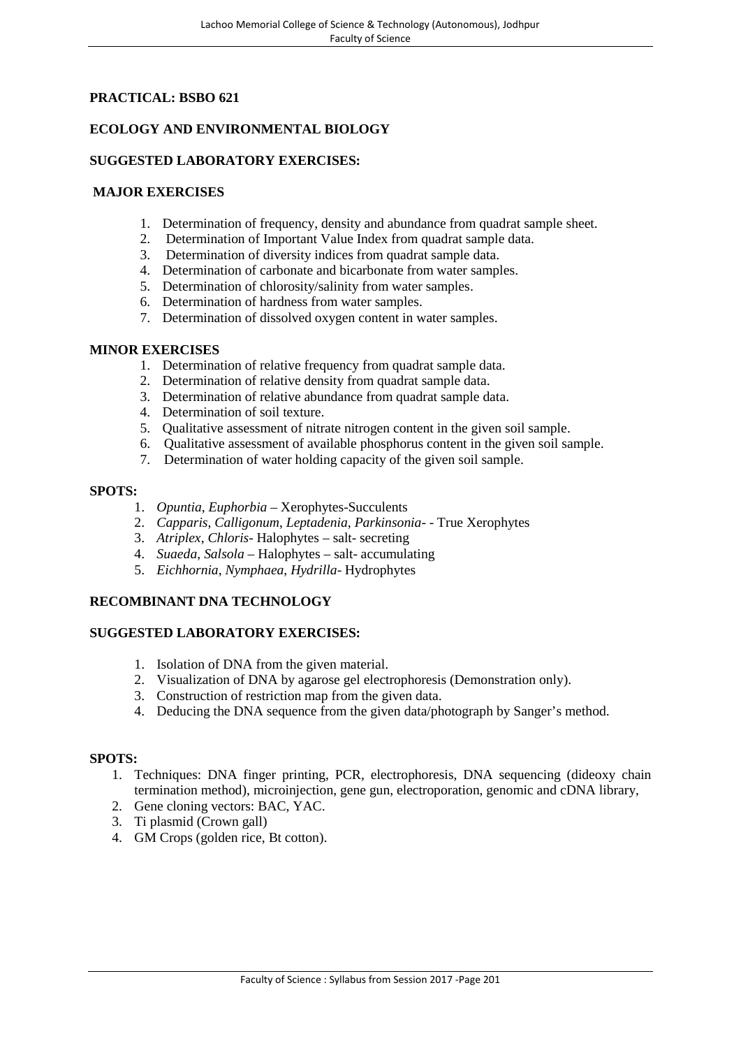# **PRACTICAL: BSBO 621**

# **ECOLOGY AND ENVIRONMENTAL BIOLOGY**

## **SUGGESTED LABORATORY EXERCISES:**

## **MAJOR EXERCISES**

- 1. Determination of frequency, density and abundance from quadrat sample sheet.
- 2. Determination of Important Value Index from quadrat sample data.
- 3. Determination of diversity indices from quadrat sample data.
- 4. Determination of carbonate and bicarbonate from water samples.
- 5. Determination of chlorosity/salinity from water samples.
- 6. Determination of hardness from water samples.
- 7. Determination of dissolved oxygen content in water samples.

#### **MINOR EXERCISES**

- 1. Determination of relative frequency from quadrat sample data.
- 2. Determination of relative density from quadrat sample data.
- 3. Determination of relative abundance from quadrat sample data.
- 4. Determination of soil texture.
- 5. Qualitative assessment of nitrate nitrogen content in the given soil sample.
- 6. Qualitative assessment of available phosphorus content in the given soil sample.
- 7. Determination of water holding capacity of the given soil sample.

#### **SPOTS:**

- 1. *Opuntia*, *Euphorbia* Xerophytes-Succulents
- 2. *Capparis*, *Calligonum*, *Leptadenia*, *Parkinsonia* - True Xerophytes
- 3. *Atriplex*, *Chloris* Halophytes salt- secreting
- 4. *Suaeda*, *Salsola* Halophytes salt- accumulating
- 5. *Eichhornia*, *Nymphaea*, *Hydrilla* Hydrophytes

# **RECOMBINANT DNA TECHNOLOGY**

# **SUGGESTED LABORATORY EXERCISES:**

- 1. Isolation of DNA from the given material.
- 2. Visualization of DNA by agarose gel electrophoresis (Demonstration only).
- 3. Construction of restriction map from the given data.
- 4. Deducing the DNA sequence from the given data/photograph by Sanger's method.

# **SPOTS:**

- 1. Techniques: DNA finger printing, PCR, electrophoresis, DNA sequencing (dideoxy chain termination method), microinjection, gene gun, electroporation, genomic and cDNA library,
- 2. Gene cloning vectors: BAC, YAC.
- 3. Ti plasmid (Crown gall)
- 4. GM Crops (golden rice, Bt cotton).